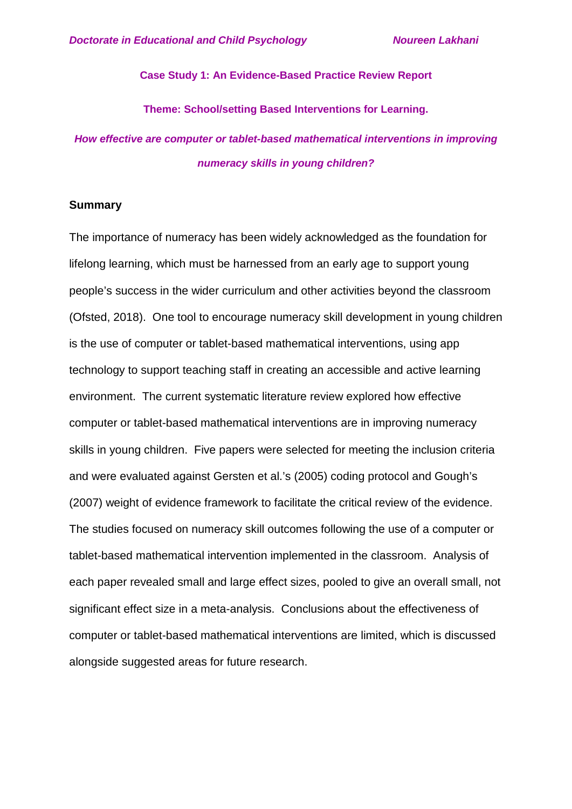### **Case Study 1: An Evidence-Based Practice Review Report**

**Theme: School/setting Based Interventions for Learning.**

*How effective are computer or tablet-based mathematical interventions in improving numeracy skills in young children?*

#### **Summary**

The importance of numeracy has been widely acknowledged as the foundation for lifelong learning, which must be harnessed from an early age to support young people's success in the wider curriculum and other activities beyond the classroom (Ofsted, 2018). One tool to encourage numeracy skill development in young children is the use of computer or tablet-based mathematical interventions, using app technology to support teaching staff in creating an accessible and active learning environment. The current systematic literature review explored how effective computer or tablet-based mathematical interventions are in improving numeracy skills in young children. Five papers were selected for meeting the inclusion criteria and were evaluated against Gersten et al.'s (2005) coding protocol and Gough's (2007) weight of evidence framework to facilitate the critical review of the evidence. The studies focused on numeracy skill outcomes following the use of a computer or tablet-based mathematical intervention implemented in the classroom. Analysis of each paper revealed small and large effect sizes, pooled to give an overall small, not significant effect size in a meta-analysis. Conclusions about the effectiveness of computer or tablet-based mathematical interventions are limited, which is discussed alongside suggested areas for future research.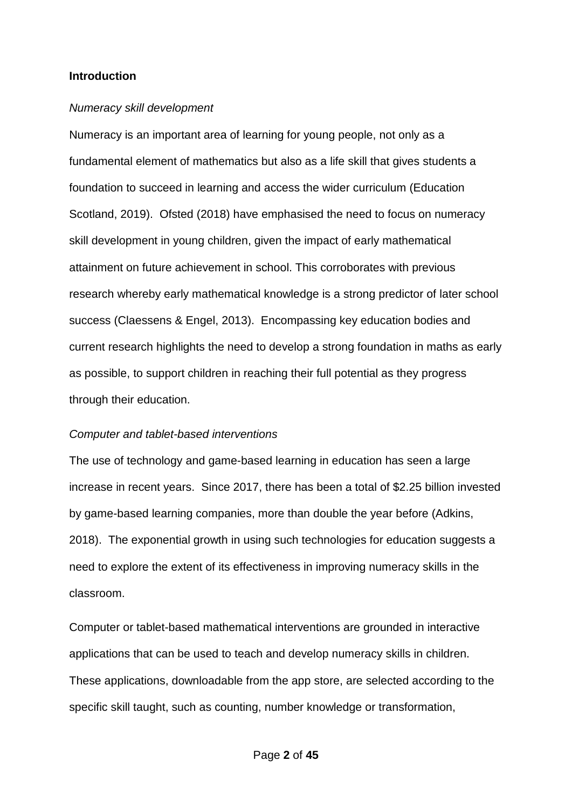#### **Introduction**

#### *Numeracy skill development*

Numeracy is an important area of learning for young people, not only as a fundamental element of mathematics but also as a life skill that gives students a foundation to succeed in learning and access the wider curriculum (Education Scotland, 2019). Ofsted (2018) have emphasised the need to focus on numeracy skill development in young children, given the impact of early mathematical attainment on future achievement in school. This corroborates with previous research whereby early mathematical knowledge is a strong predictor of later school success (Claessens & Engel, 2013). Encompassing key education bodies and current research highlights the need to develop a strong foundation in maths as early as possible, to support children in reaching their full potential as they progress through their education.

#### *Computer and tablet-based interventions*

The use of technology and game-based learning in education has seen a large increase in recent years. Since 2017, there has been a total of \$2.25 billion invested by game-based learning companies, more than double the year before (Adkins, 2018). The exponential growth in using such technologies for education suggests a need to explore the extent of its effectiveness in improving numeracy skills in the classroom.

Computer or tablet-based mathematical interventions are grounded in interactive applications that can be used to teach and develop numeracy skills in children. These applications, downloadable from the app store, are selected according to the specific skill taught, such as counting, number knowledge or transformation,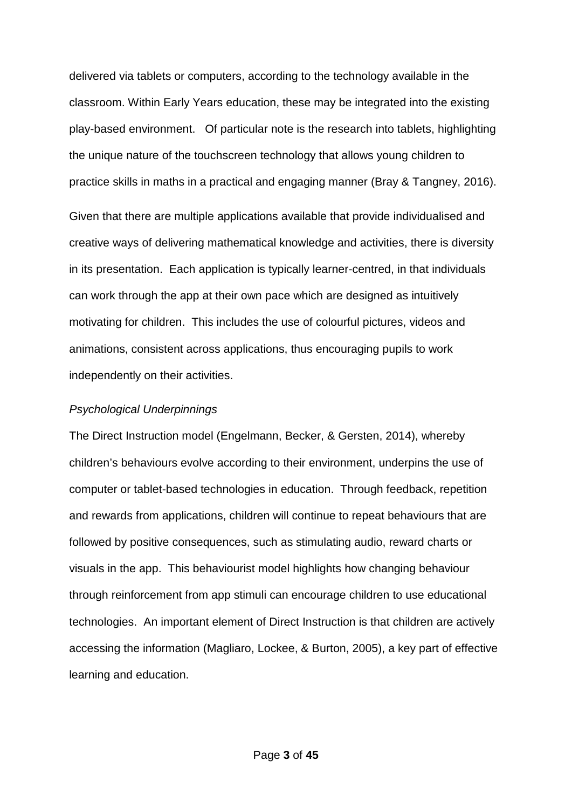delivered via tablets or computers, according to the technology available in the classroom. Within Early Years education, these may be integrated into the existing play-based environment. Of particular note is the research into tablets, highlighting the unique nature of the touchscreen technology that allows young children to practice skills in maths in a practical and engaging manner (Bray & Tangney, 2016).

Given that there are multiple applications available that provide individualised and creative ways of delivering mathematical knowledge and activities, there is diversity in its presentation. Each application is typically learner-centred, in that individuals can work through the app at their own pace which are designed as intuitively motivating for children. This includes the use of colourful pictures, videos and animations, consistent across applications, thus encouraging pupils to work independently on their activities.

#### *Psychological Underpinnings*

The Direct Instruction model (Engelmann, Becker, & Gersten, 2014), whereby children's behaviours evolve according to their environment, underpins the use of computer or tablet-based technologies in education. Through feedback, repetition and rewards from applications, children will continue to repeat behaviours that are followed by positive consequences, such as stimulating audio, reward charts or visuals in the app. This behaviourist model highlights how changing behaviour through reinforcement from app stimuli can encourage children to use educational technologies. An important element of Direct Instruction is that children are actively accessing the information (Magliaro, Lockee, & Burton, 2005), a key part of effective learning and education.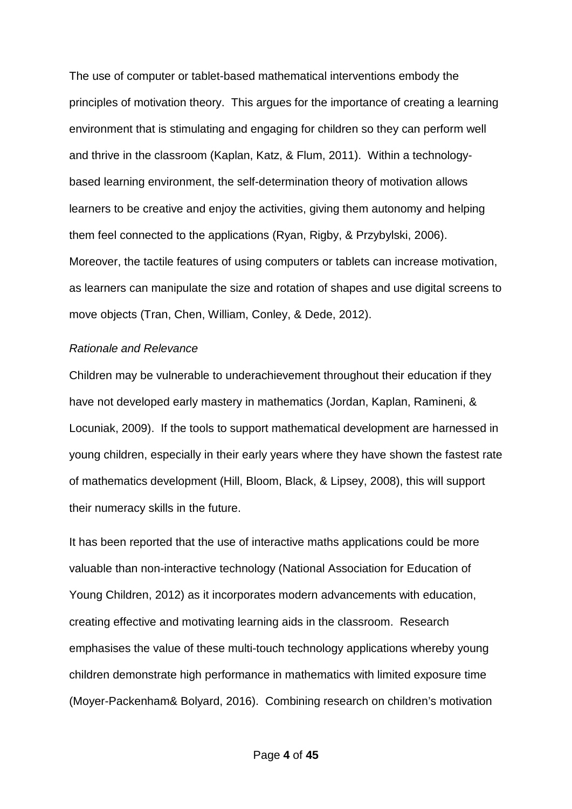The use of computer or tablet-based mathematical interventions embody the principles of motivation theory. This argues for the importance of creating a learning environment that is stimulating and engaging for children so they can perform well and thrive in the classroom (Kaplan, Katz, & Flum, 2011). Within a technologybased learning environment, the self-determination theory of motivation allows learners to be creative and enjoy the activities, giving them autonomy and helping them feel connected to the applications (Ryan, Rigby, & Przybylski, 2006). Moreover, the tactile features of using computers or tablets can increase motivation, as learners can manipulate the size and rotation of shapes and use digital screens to move objects (Tran, Chen, William, Conley, & Dede, 2012).

#### *Rationale and Relevance*

Children may be vulnerable to underachievement throughout their education if they have not developed early mastery in mathematics (Jordan, Kaplan, Ramineni, & Locuniak, 2009). If the tools to support mathematical development are harnessed in young children, especially in their early years where they have shown the fastest rate of mathematics development (Hill, Bloom, Black, & Lipsey, 2008), this will support their numeracy skills in the future.

It has been reported that the use of interactive maths applications could be more valuable than non-interactive technology (National Association for Education of Young Children, 2012) as it incorporates modern advancements with education, creating effective and motivating learning aids in the classroom. Research emphasises the value of these multi-touch technology applications whereby young children demonstrate high performance in mathematics with limited exposure time (Moyer-Packenham& Bolyard, 2016). Combining research on children's motivation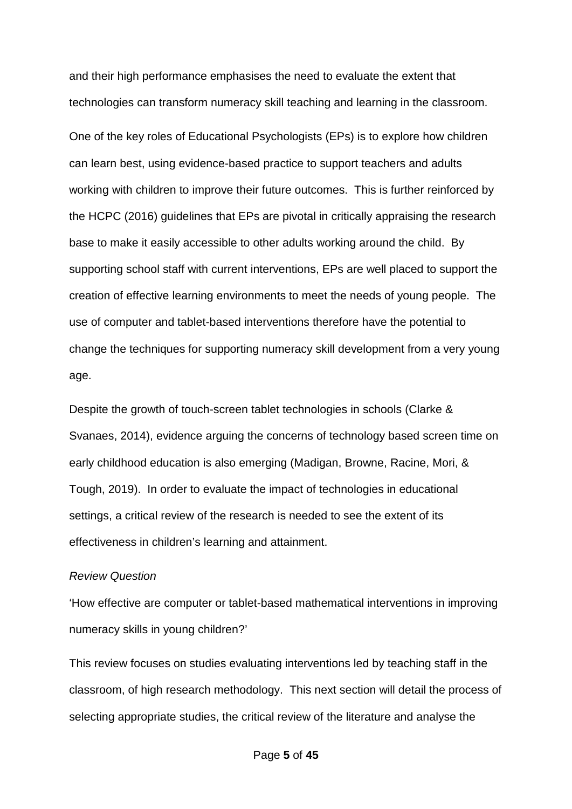and their high performance emphasises the need to evaluate the extent that technologies can transform numeracy skill teaching and learning in the classroom.

One of the key roles of Educational Psychologists (EPs) is to explore how children can learn best, using evidence-based practice to support teachers and adults working with children to improve their future outcomes. This is further reinforced by the HCPC (2016) guidelines that EPs are pivotal in critically appraising the research base to make it easily accessible to other adults working around the child. By supporting school staff with current interventions, EPs are well placed to support the creation of effective learning environments to meet the needs of young people. The use of computer and tablet-based interventions therefore have the potential to change the techniques for supporting numeracy skill development from a very young age.

Despite the growth of touch-screen tablet technologies in schools (Clarke & Svanaes, 2014), evidence arguing the concerns of technology based screen time on early childhood education is also emerging (Madigan, Browne, Racine, Mori, & Tough, 2019). In order to evaluate the impact of technologies in educational settings, a critical review of the research is needed to see the extent of its effectiveness in children's learning and attainment.

### *Review Question*

'How effective are computer or tablet-based mathematical interventions in improving numeracy skills in young children?'

This review focuses on studies evaluating interventions led by teaching staff in the classroom, of high research methodology. This next section will detail the process of selecting appropriate studies, the critical review of the literature and analyse the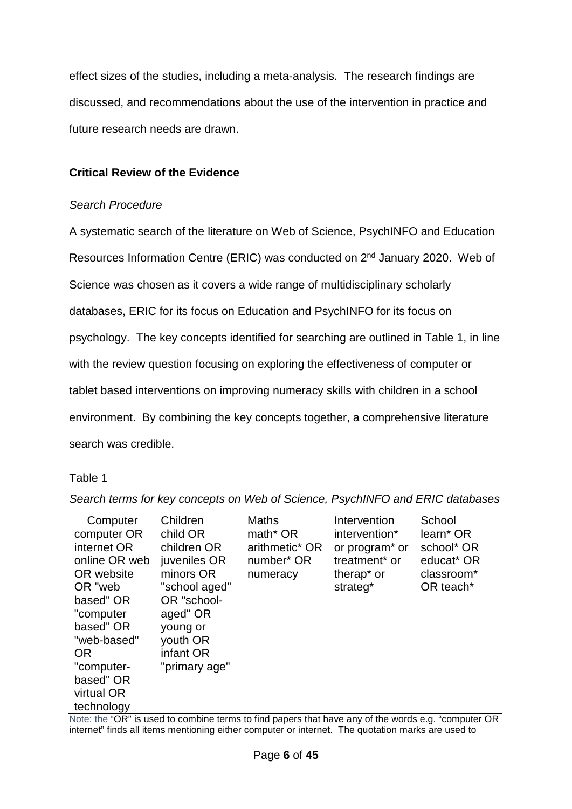effect sizes of the studies, including a meta-analysis. The research findings are discussed, and recommendations about the use of the intervention in practice and future research needs are drawn.

## **Critical Review of the Evidence**

## *Search Procedure*

A systematic search of the literature on Web of Science, PsychINFO and Education Resources Information Centre (ERIC) was conducted on 2<sup>nd</sup> January 2020. Web of Science was chosen as it covers a wide range of multidisciplinary scholarly databases, ERIC for its focus on Education and PsychINFO for its focus on psychology. The key concepts identified for searching are outlined in Table 1, in line with the review question focusing on exploring the effectiveness of computer or tablet based interventions on improving numeracy skills with children in a school environment. By combining the key concepts together, a comprehensive literature search was credible.

## Table 1

| Computer      | Children      | Maths                | Intervention               | School                 |
|---------------|---------------|----------------------|----------------------------|------------------------|
| computer OR   | child OR      | math <sup>*</sup> OR | intervention*              | learn <sup>*</sup> OR  |
| internet OR   | children OR   | arithmetic* OR       | or program <sup>*</sup> or | school* OR             |
| online OR web | juveniles OR  | number* OR           | treatment <sup>*</sup> or  | educat <sup>*</sup> OR |
| OR website    | minors OR     | numeracy             | therap <sup>*</sup> or     | classroom*             |
| OR "web       | "school aged" |                      | strateg <sup>*</sup>       | OR teach <sup>*</sup>  |
| based" OR     | OR "school-   |                      |                            |                        |
| "computer     | aged" OR      |                      |                            |                        |
| based" OR     | young or      |                      |                            |                        |
| "web-based"   | youth OR      |                      |                            |                        |
| <b>OR</b>     | infant OR     |                      |                            |                        |
| "computer-    | "primary age" |                      |                            |                        |
| based" OR     |               |                      |                            |                        |
| virtual OR    |               |                      |                            |                        |
| technology    |               |                      |                            |                        |

*Search terms for key concepts on Web of Science, PsychINFO and ERIC databases*

Note: the "OR" is used to combine terms to find papers that have any of the words e.g. "computer OR internet" finds all items mentioning either computer or internet. The quotation marks are used to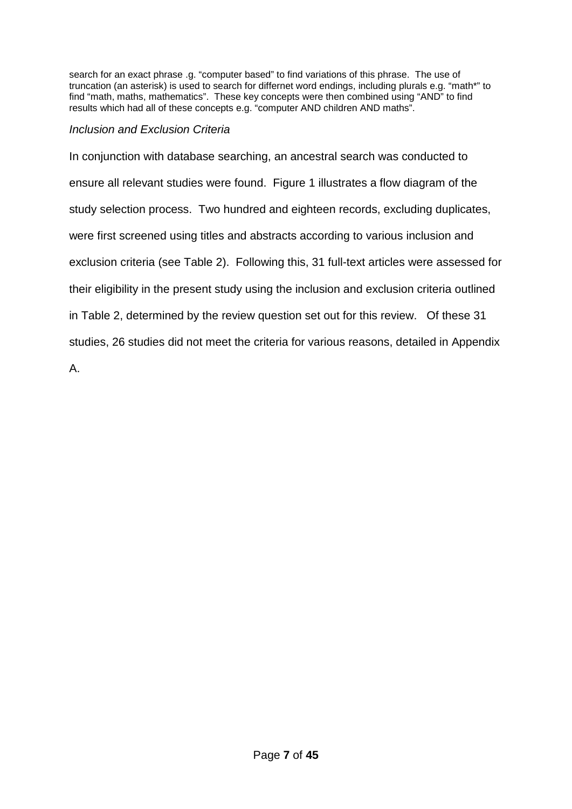search for an exact phrase .g. "computer based" to find variations of this phrase. The use of truncation (an asterisk) is used to search for differnet word endings, including plurals e.g. "math\*" to find "math, maths, mathematics". These key concepts were then combined using "AND" to find results which had all of these concepts e.g. "computer AND children AND maths".

## *Inclusion and Exclusion Criteria*

In conjunction with database searching, an ancestral search was conducted to ensure all relevant studies were found. Figure 1 illustrates a flow diagram of the study selection process. Two hundred and eighteen records, excluding duplicates, were first screened using titles and abstracts according to various inclusion and exclusion criteria (see Table 2). Following this, 31 full-text articles were assessed for their eligibility in the present study using the inclusion and exclusion criteria outlined in Table 2, determined by the review question set out for this review. Of these 31 studies, 26 studies did not meet the criteria for various reasons, detailed in Appendix

A.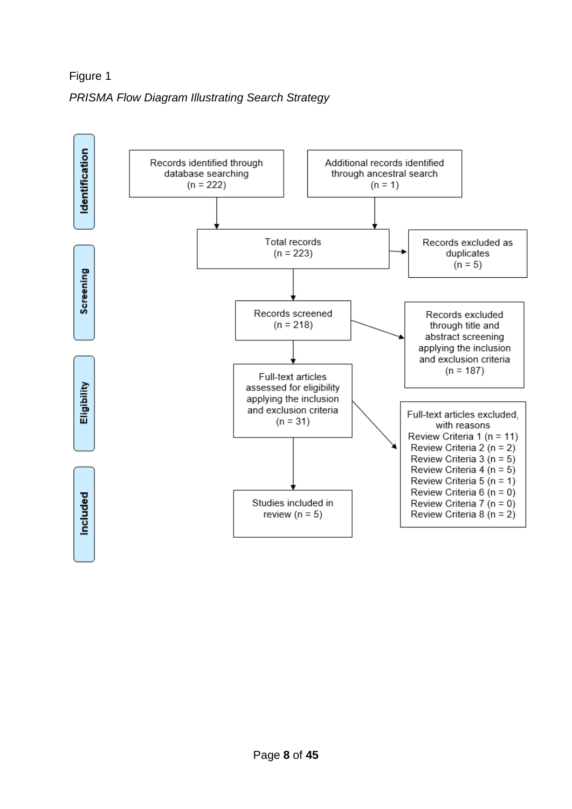Figure 1 *PRISMA Flow Diagram Illustrating Search Strategy*

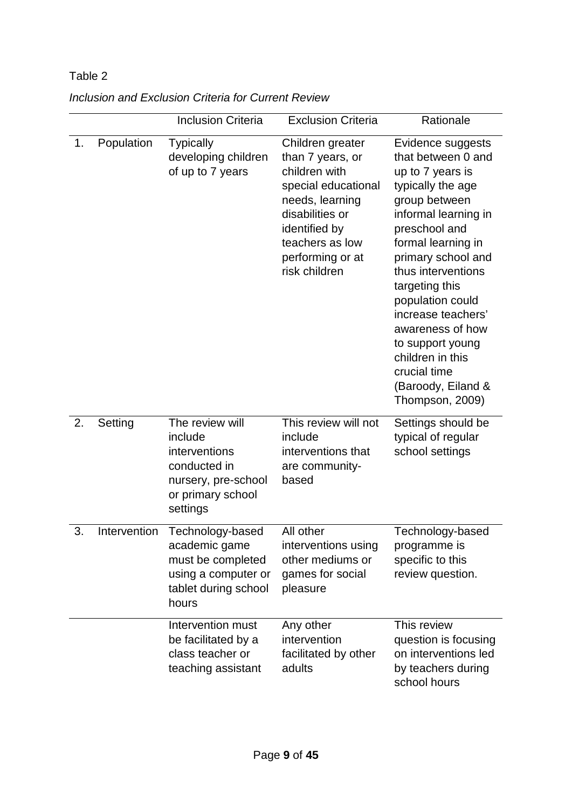# Table 2

|    |              | <b>Inclusion Criteria</b>                                                                                           | <b>Exclusion Criteria</b>                                                                                                                                                                   | Rationale                                                                                                                                                                                                                                                                                                                                                                                     |
|----|--------------|---------------------------------------------------------------------------------------------------------------------|---------------------------------------------------------------------------------------------------------------------------------------------------------------------------------------------|-----------------------------------------------------------------------------------------------------------------------------------------------------------------------------------------------------------------------------------------------------------------------------------------------------------------------------------------------------------------------------------------------|
| 1. | Population   | <b>Typically</b><br>developing children<br>of up to 7 years                                                         | Children greater<br>than 7 years, or<br>children with<br>special educational<br>needs, learning<br>disabilities or<br>identified by<br>teachers as low<br>performing or at<br>risk children | Evidence suggests<br>that between 0 and<br>up to 7 years is<br>typically the age<br>group between<br>informal learning in<br>preschool and<br>formal learning in<br>primary school and<br>thus interventions<br>targeting this<br>population could<br>increase teachers'<br>awareness of how<br>to support young<br>children in this<br>crucial time<br>(Baroody, Eiland &<br>Thompson, 2009) |
| 2. | Setting      | The review will<br>include<br>interventions<br>conducted in<br>nursery, pre-school<br>or primary school<br>settings | This review will not<br>include<br>interventions that<br>are community-<br>based                                                                                                            | Settings should be<br>typical of regular<br>school settings                                                                                                                                                                                                                                                                                                                                   |
| 3. | Intervention | Technology-based<br>academic game<br>must be completed<br>using a computer or<br>tablet during school<br>hours      | All other<br>interventions using<br>other mediums or<br>games for social<br>pleasure                                                                                                        | Technology-based<br>programme is<br>specific to this<br>review question.                                                                                                                                                                                                                                                                                                                      |
|    |              | Intervention must<br>be facilitated by a<br>class teacher or<br>teaching assistant                                  | Any other<br>intervention<br>facilitated by other<br>adults                                                                                                                                 | This review<br>question is focusing<br>on interventions led<br>by teachers during<br>school hours                                                                                                                                                                                                                                                                                             |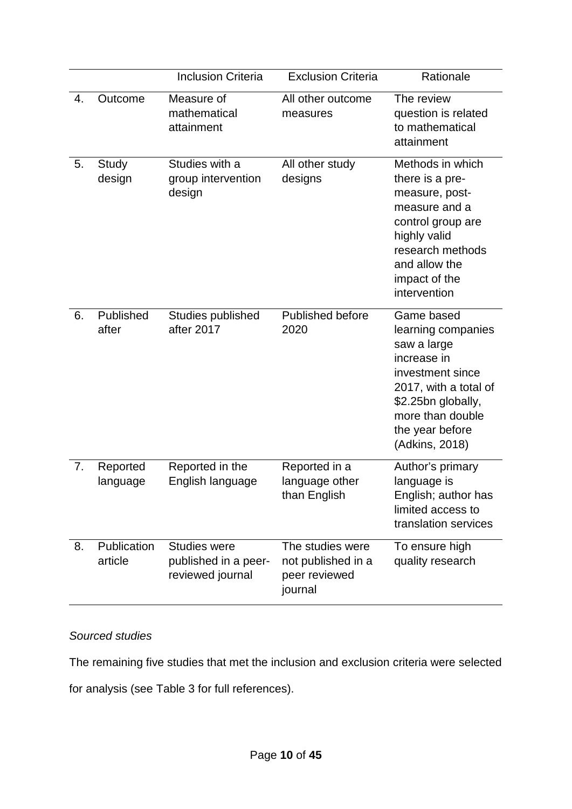|    |                        | <b>Inclusion Criteria</b>                                       | <b>Exclusion Criteria</b>                                          | Rationale                                                                                                                                                                                  |
|----|------------------------|-----------------------------------------------------------------|--------------------------------------------------------------------|--------------------------------------------------------------------------------------------------------------------------------------------------------------------------------------------|
| 4. | Outcome                | Measure of<br>mathematical<br>attainment                        | All other outcome<br>measures                                      | The review<br>question is related<br>to mathematical<br>attainment                                                                                                                         |
| 5. | Study<br>design        | Studies with a<br>group intervention<br>design                  | All other study<br>designs                                         | Methods in which<br>there is a pre-<br>measure, post-<br>measure and a<br>control group are<br>highly valid<br>research methods<br>and allow the<br>impact of the<br>intervention          |
| 6. | Published<br>after     | Studies published<br>after 2017                                 | <b>Published before</b><br>2020                                    | Game based<br>learning companies<br>saw a large<br>increase in<br>investment since<br>2017, with a total of<br>\$2.25bn globally,<br>more than double<br>the year before<br>(Adkins, 2018) |
| 7. | Reported<br>language   | Reported in the<br>English language                             | Reported in a<br>language other<br>than English                    | Author's primary<br>language is<br>English; author has<br>limited access to<br>translation services                                                                                        |
| 8. | Publication<br>article | <b>Studies were</b><br>published in a peer-<br>reviewed journal | The studies were<br>not published in a<br>peer reviewed<br>journal | To ensure high<br>quality research                                                                                                                                                         |

## *Sourced studies*

The remaining five studies that met the inclusion and exclusion criteria were selected

for analysis (see Table 3 for full references).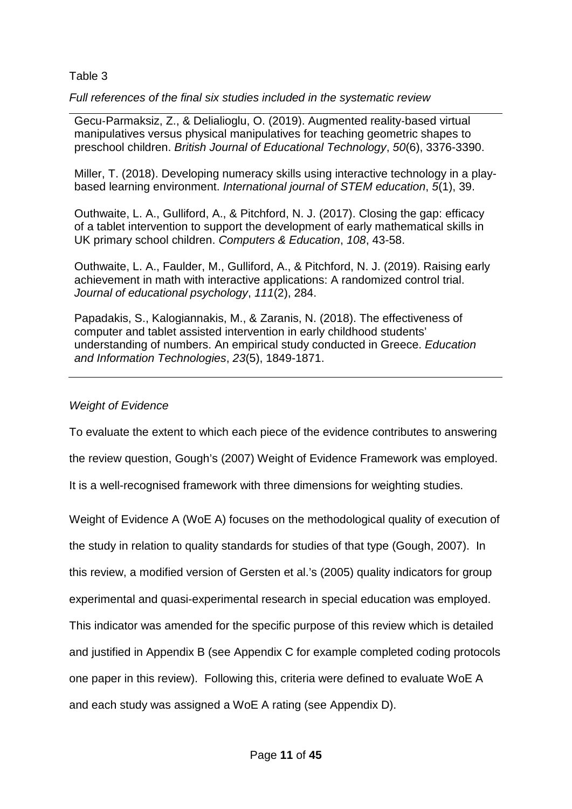## Table 3

*Full references of the final six studies included in the systematic review*

Gecu‐Parmaksiz, Z., & Delialioglu, O. (2019). Augmented reality‐based virtual manipulatives versus physical manipulatives for teaching geometric shapes to preschool children. *British Journal of Educational Technology*, *50*(6), 3376-3390.

Miller, T. (2018). Developing numeracy skills using interactive technology in a playbased learning environment. *International journal of STEM education*, *5*(1), 39.

Outhwaite, L. A., Gulliford, A., & Pitchford, N. J. (2017). Closing the gap: efficacy of a tablet intervention to support the development of early mathematical skills in UK primary school children. *Computers & Education*, *108*, 43-58.

Outhwaite, L. A., Faulder, M., Gulliford, A., & Pitchford, N. J. (2019). Raising early achievement in math with interactive applications: A randomized control trial. *Journal of educational psychology*, *111*(2), 284.

Papadakis, S., Kalogiannakis, M., & Zaranis, N. (2018). The effectiveness of computer and tablet assisted intervention in early childhood students' understanding of numbers. An empirical study conducted in Greece. *Education and Information Technologies*, *23*(5), 1849-1871.

## *Weight of Evidence*

To evaluate the extent to which each piece of the evidence contributes to answering

the review question, Gough's (2007) Weight of Evidence Framework was employed.

It is a well-recognised framework with three dimensions for weighting studies.

Weight of Evidence A (WoE A) focuses on the methodological quality of execution of

the study in relation to quality standards for studies of that type (Gough, 2007). In

this review, a modified version of Gersten et al.'s (2005) quality indicators for group

experimental and quasi-experimental research in special education was employed.

This indicator was amended for the specific purpose of this review which is detailed

and justified in Appendix B (see Appendix C for example completed coding protocols

one paper in this review). Following this, criteria were defined to evaluate WoE A

and each study was assigned a WoE A rating (see Appendix D).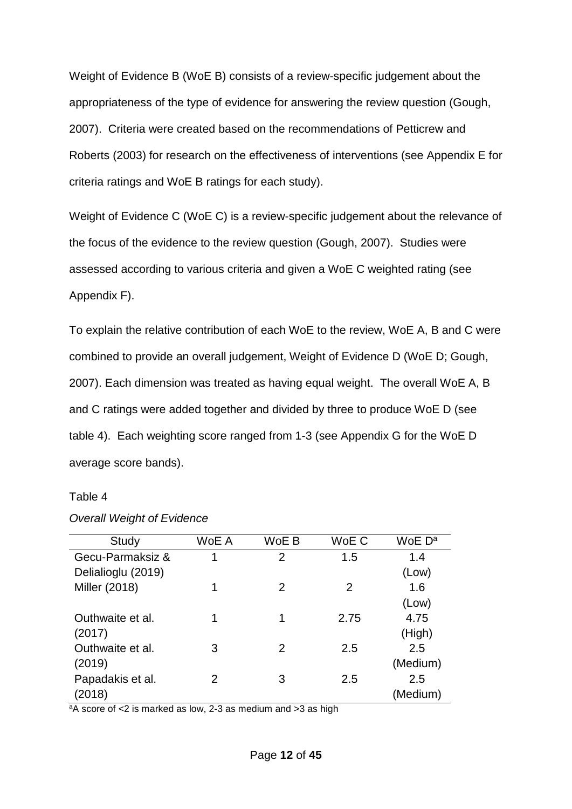Weight of Evidence B (WoE B) consists of a review-specific judgement about the appropriateness of the type of evidence for answering the review question (Gough, 2007). Criteria were created based on the recommendations of Petticrew and Roberts (2003) for research on the effectiveness of interventions (see Appendix E for criteria ratings and WoE B ratings for each study).

Weight of Evidence C (WoE C) is a review-specific judgement about the relevance of the focus of the evidence to the review question (Gough, 2007). Studies were assessed according to various criteria and given a WoE C weighted rating (see Appendix F).

To explain the relative contribution of each WoE to the review, WoE A, B and C were combined to provide an overall judgement, Weight of Evidence D (WoE D; Gough, 2007). Each dimension was treated as having equal weight. The overall WoE A, B and C ratings were added together and divided by three to produce WoE D (see table 4). Each weighting score ranged from 1-3 (see Appendix G for the WoE D average score bands).

#### Table 4

| Study              | WoE A | WoE B | WoE C | WoE D <sup>a</sup> |
|--------------------|-------|-------|-------|--------------------|
| Gecu-Parmaksiz &   | 1     | 2     | 1.5   | 1.4                |
| Delialioglu (2019) |       |       |       | (Low)              |
| Miller (2018)      | 1     | 2     | 2     | 1.6                |
|                    |       |       |       | (Low)              |
| Outhwaite et al.   | 1     | 1     | 2.75  | 4.75               |
| (2017)             |       |       |       | (High)             |
| Outhwaite et al.   | 3     | 2     | 2.5   | 2.5                |
| (2019)             |       |       |       | (Medium)           |
| Papadakis et al.   | 2     | 3     | 2.5   | 2.5                |
| (2018)             |       |       |       | (Medium)           |

#### *Overall Weight of Evidence*

aA score of <2 is marked as low, 2-3 as medium and >3 as high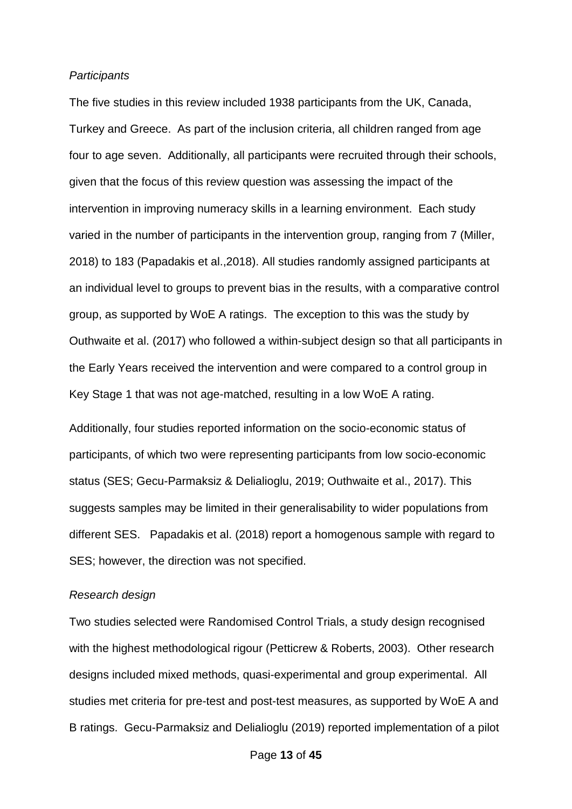#### *Participants*

The five studies in this review included 1938 participants from the UK, Canada, Turkey and Greece. As part of the inclusion criteria, all children ranged from age four to age seven. Additionally, all participants were recruited through their schools, given that the focus of this review question was assessing the impact of the intervention in improving numeracy skills in a learning environment. Each study varied in the number of participants in the intervention group, ranging from 7 (Miller, 2018) to 183 (Papadakis et al.,2018). All studies randomly assigned participants at an individual level to groups to prevent bias in the results, with a comparative control group, as supported by WoE A ratings. The exception to this was the study by Outhwaite et al. (2017) who followed a within-subject design so that all participants in the Early Years received the intervention and were compared to a control group in Key Stage 1 that was not age-matched, resulting in a low WoE A rating.

Additionally, four studies reported information on the socio-economic status of participants, of which two were representing participants from low socio-economic status (SES; Gecu-Parmaksiz & Delialioglu, 2019; Outhwaite et al., 2017). This suggests samples may be limited in their generalisability to wider populations from different SES. Papadakis et al. (2018) report a homogenous sample with regard to SES; however, the direction was not specified.

#### *Research design*

Two studies selected were Randomised Control Trials, a study design recognised with the highest methodological rigour (Petticrew & Roberts, 2003). Other research designs included mixed methods, quasi-experimental and group experimental. All studies met criteria for pre-test and post-test measures, as supported by WoE A and B ratings. Gecu-Parmaksiz and Delialioglu (2019) reported implementation of a pilot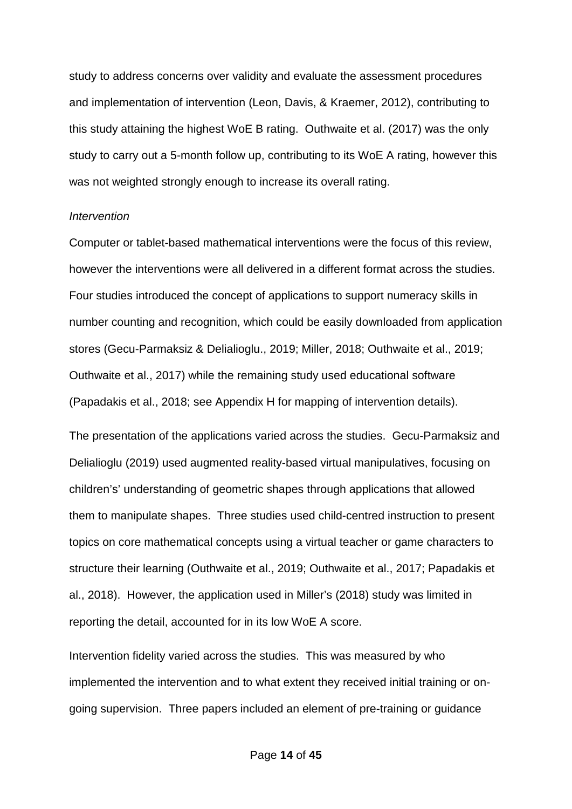study to address concerns over validity and evaluate the assessment procedures and implementation of intervention (Leon, Davis, & Kraemer, 2012), contributing to this study attaining the highest WoE B rating. Outhwaite et al. (2017) was the only study to carry out a 5-month follow up, contributing to its WoE A rating, however this was not weighted strongly enough to increase its overall rating.

#### *Intervention*

Computer or tablet-based mathematical interventions were the focus of this review, however the interventions were all delivered in a different format across the studies. Four studies introduced the concept of applications to support numeracy skills in number counting and recognition, which could be easily downloaded from application stores (Gecu-Parmaksiz & Delialioglu., 2019; Miller, 2018; Outhwaite et al., 2019; Outhwaite et al., 2017) while the remaining study used educational software (Papadakis et al., 2018; see Appendix H for mapping of intervention details).

The presentation of the applications varied across the studies. Gecu-Parmaksiz and Delialioglu (2019) used augmented reality-based virtual manipulatives, focusing on children's' understanding of geometric shapes through applications that allowed them to manipulate shapes. Three studies used child-centred instruction to present topics on core mathematical concepts using a virtual teacher or game characters to structure their learning (Outhwaite et al., 2019; Outhwaite et al., 2017; Papadakis et al., 2018). However, the application used in Miller's (2018) study was limited in reporting the detail, accounted for in its low WoE A score.

Intervention fidelity varied across the studies. This was measured by who implemented the intervention and to what extent they received initial training or ongoing supervision. Three papers included an element of pre-training or guidance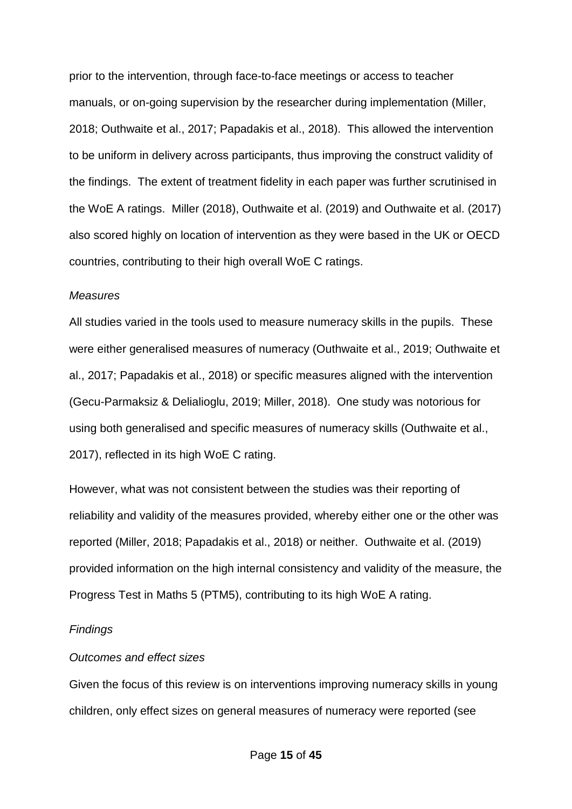prior to the intervention, through face-to-face meetings or access to teacher manuals, or on-going supervision by the researcher during implementation (Miller, 2018; Outhwaite et al., 2017; Papadakis et al., 2018). This allowed the intervention to be uniform in delivery across participants, thus improving the construct validity of the findings. The extent of treatment fidelity in each paper was further scrutinised in the WoE A ratings. Miller (2018), Outhwaite et al. (2019) and Outhwaite et al. (2017) also scored highly on location of intervention as they were based in the UK or OECD countries, contributing to their high overall WoE C ratings.

#### *Measures*

All studies varied in the tools used to measure numeracy skills in the pupils. These were either generalised measures of numeracy (Outhwaite et al., 2019; Outhwaite et al., 2017; Papadakis et al., 2018) or specific measures aligned with the intervention (Gecu-Parmaksiz & Delialioglu, 2019; Miller, 2018). One study was notorious for using both generalised and specific measures of numeracy skills (Outhwaite et al., 2017), reflected in its high WoE C rating.

However, what was not consistent between the studies was their reporting of reliability and validity of the measures provided, whereby either one or the other was reported (Miller, 2018; Papadakis et al., 2018) or neither. Outhwaite et al. (2019) provided information on the high internal consistency and validity of the measure, the Progress Test in Maths 5 (PTM5), contributing to its high WoE A rating.

#### *Findings*

### *Outcomes and effect sizes*

Given the focus of this review is on interventions improving numeracy skills in young children, only effect sizes on general measures of numeracy were reported (see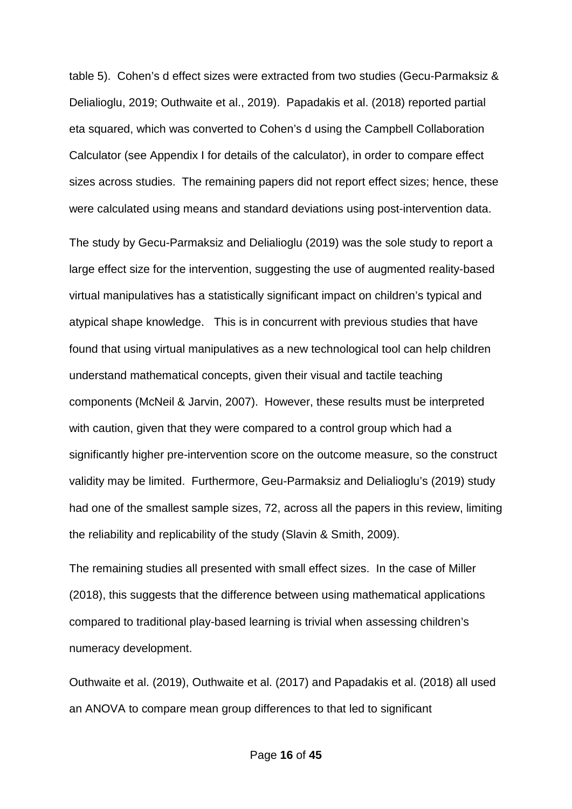table 5). Cohen's d effect sizes were extracted from two studies (Gecu-Parmaksiz & Delialioglu, 2019; Outhwaite et al., 2019). Papadakis et al. (2018) reported partial eta squared, which was converted to Cohen's d using the Campbell Collaboration Calculator (see Appendix I for details of the calculator), in order to compare effect sizes across studies. The remaining papers did not report effect sizes; hence, these were calculated using means and standard deviations using post-intervention data.

The study by Gecu-Parmaksiz and Delialioglu (2019) was the sole study to report a large effect size for the intervention, suggesting the use of augmented reality-based virtual manipulatives has a statistically significant impact on children's typical and atypical shape knowledge. This is in concurrent with previous studies that have found that using virtual manipulatives as a new technological tool can help children understand mathematical concepts, given their visual and tactile teaching components (McNeil & Jarvin, 2007). However, these results must be interpreted with caution, given that they were compared to a control group which had a significantly higher pre-intervention score on the outcome measure, so the construct validity may be limited. Furthermore, Geu-Parmaksiz and Delialioglu's (2019) study had one of the smallest sample sizes, 72, across all the papers in this review, limiting the reliability and replicability of the study (Slavin & Smith, 2009).

The remaining studies all presented with small effect sizes. In the case of Miller (2018), this suggests that the difference between using mathematical applications compared to traditional play-based learning is trivial when assessing children's numeracy development.

Outhwaite et al. (2019), Outhwaite et al. (2017) and Papadakis et al. (2018) all used an ANOVA to compare mean group differences to that led to significant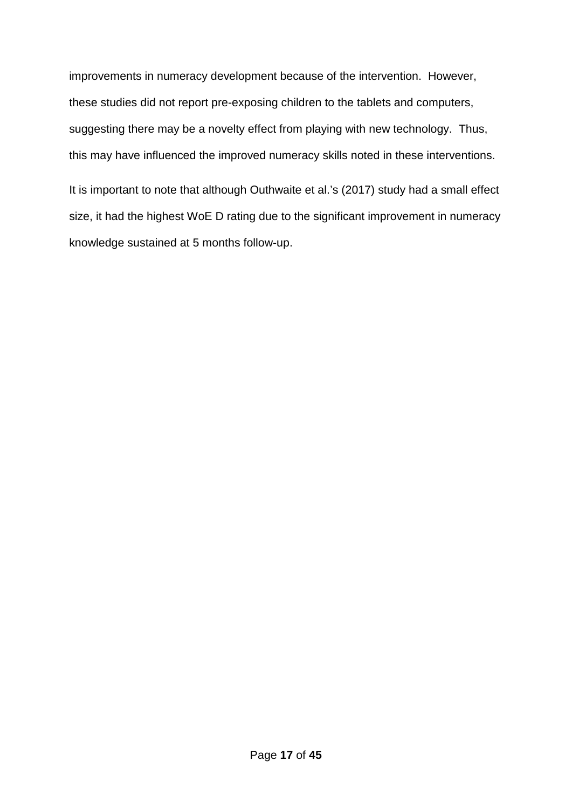improvements in numeracy development because of the intervention. However, these studies did not report pre-exposing children to the tablets and computers, suggesting there may be a novelty effect from playing with new technology. Thus, this may have influenced the improved numeracy skills noted in these interventions.

It is important to note that although Outhwaite et al.'s (2017) study had a small effect size, it had the highest WoE D rating due to the significant improvement in numeracy knowledge sustained at 5 months follow-up.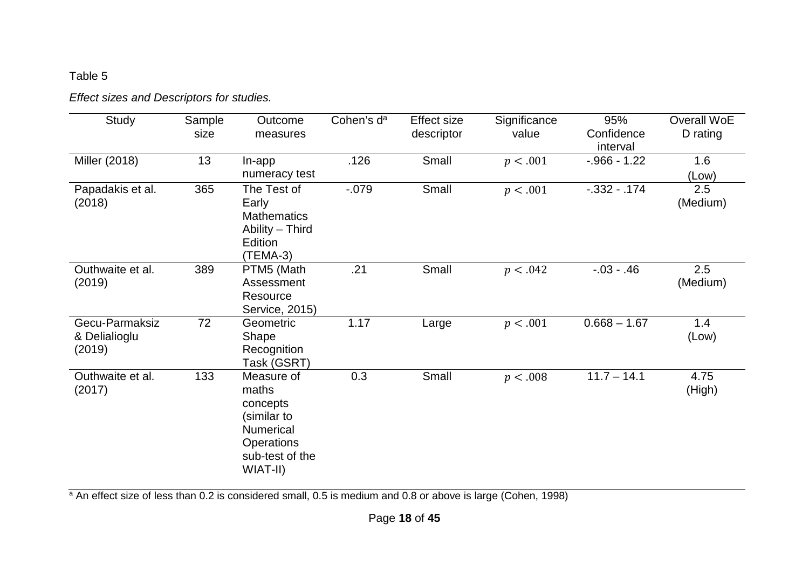# Table 5

# *Effect sizes and Descriptors for studies.*

| Study                                     | Sample<br>size | Outcome<br>measures                                                                                                    | Cohen's d <sup>a</sup> | <b>Effect size</b><br>descriptor | Significance<br>value | 95%<br>Confidence<br>interval | Overall WoE<br>D rating |
|-------------------------------------------|----------------|------------------------------------------------------------------------------------------------------------------------|------------------------|----------------------------------|-----------------------|-------------------------------|-------------------------|
| Miller (2018)                             | 13             | In-app<br>numeracy test                                                                                                | .126                   | Small                            | p < .001              | $-.966 - 1.22$                | 1.6<br>(Low)            |
| Papadakis et al.<br>(2018)                | 365            | The Test of<br>Early<br><b>Mathematics</b><br>Ability - Third<br>Edition<br>(TEMA-3)                                   | $-0.079$               | Small                            | p < .001              | $-0.332 - 0.174$              | 2.5<br>(Medium)         |
| Outhwaite et al.<br>(2019)                | 389            | PTM5 (Math<br>Assessment<br>Resource<br>Service, 2015)                                                                 | .21                    | Small                            | p < .042              | $-0.03 - 0.46$                | 2.5<br>(Medium)         |
| Gecu-Parmaksiz<br>& Delialioglu<br>(2019) | 72             | Geometric<br>Shape<br>Recognition<br>Task (GSRT)                                                                       | 1.17                   | Large                            | p < .001              | $0.668 - 1.67$                | 1.4<br>(Low)            |
| Outhwaite et al.<br>(2017)                | 133            | Measure of<br>maths<br>concepts<br>(similar to<br><b>Numerical</b><br><b>Operations</b><br>sub-test of the<br>WIAT-II) | 0.3                    | Small                            | p < .008              | $11.7 - 14.1$                 | 4.75<br>(High)          |

<sup>a</sup> An effect size of less than 0.2 is considered small, 0.5 is medium and 0.8 or above is large (Cohen, 1998)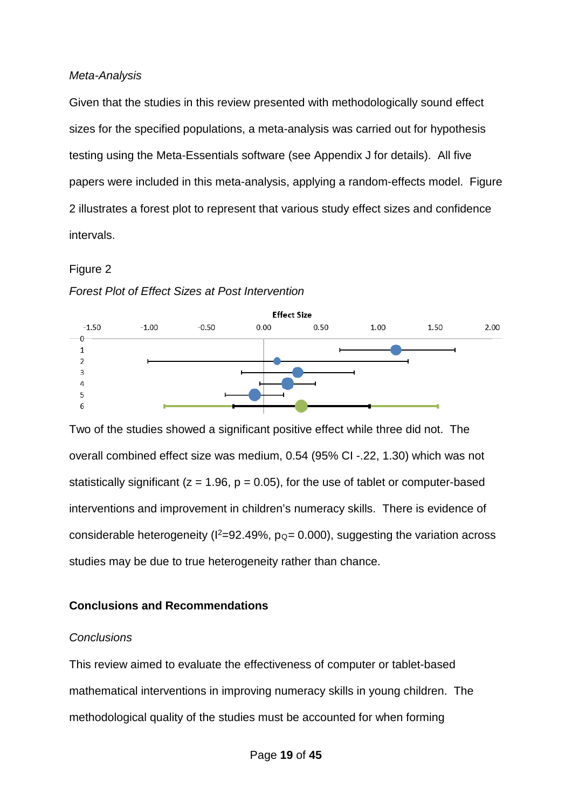### *Meta-Analysis*

Given that the studies in this review presented with methodologically sound effect sizes for the specified populations, a meta-analysis was carried out for hypothesis testing using the Meta-Essentials software (see Appendix J for details). All five papers were included in this meta-analysis, applying a random-effects model. Figure 2 illustrates a forest plot to represent that various study effect sizes and confidence intervals.

## Figure 2

#### *Forest Plot of Effect Sizes at Post Intervention*



Two of the studies showed a significant positive effect while three did not. The overall combined effect size was medium, 0.54 (95% CI -.22, 1.30) which was not statistically significant ( $z = 1.96$ ,  $p = 0.05$ ), for the use of tablet or computer-based interventions and improvement in children's numeracy skills. There is evidence of considerable heterogeneity ( $I^2$ =92.49%, p<sub>Q</sub>= 0.000), suggesting the variation across studies may be due to true heterogeneity rather than chance.

## **Conclusions and Recommendations**

## *Conclusions*

This review aimed to evaluate the effectiveness of computer or tablet-based mathematical interventions in improving numeracy skills in young children. The methodological quality of the studies must be accounted for when forming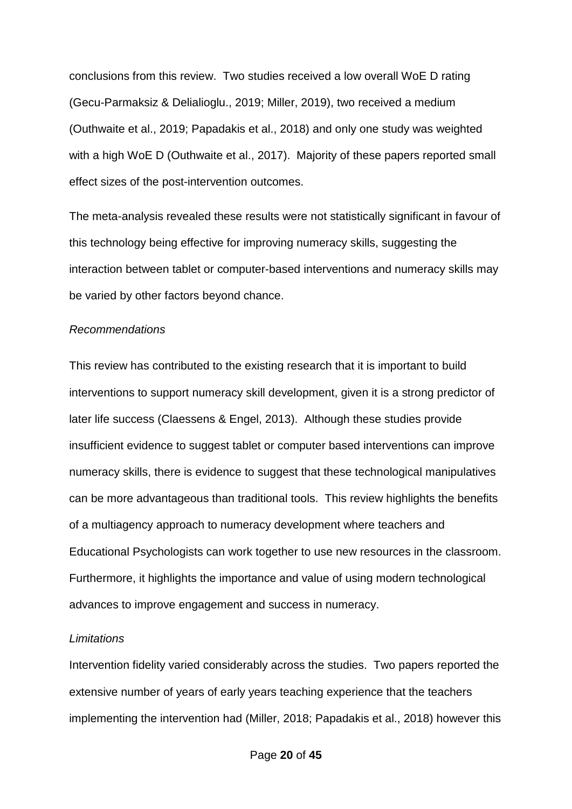conclusions from this review. Two studies received a low overall WoE D rating (Gecu-Parmaksiz & Delialioglu., 2019; Miller, 2019), two received a medium (Outhwaite et al., 2019; Papadakis et al., 2018) and only one study was weighted with a high WoE D (Outhwaite et al., 2017). Majority of these papers reported small effect sizes of the post-intervention outcomes.

The meta-analysis revealed these results were not statistically significant in favour of this technology being effective for improving numeracy skills, suggesting the interaction between tablet or computer-based interventions and numeracy skills may be varied by other factors beyond chance.

#### *Recommendations*

This review has contributed to the existing research that it is important to build interventions to support numeracy skill development, given it is a strong predictor of later life success (Claessens & Engel, 2013). Although these studies provide insufficient evidence to suggest tablet or computer based interventions can improve numeracy skills, there is evidence to suggest that these technological manipulatives can be more advantageous than traditional tools. This review highlights the benefits of a multiagency approach to numeracy development where teachers and Educational Psychologists can work together to use new resources in the classroom. Furthermore, it highlights the importance and value of using modern technological advances to improve engagement and success in numeracy.

#### *Limitations*

Intervention fidelity varied considerably across the studies. Two papers reported the extensive number of years of early years teaching experience that the teachers implementing the intervention had (Miller, 2018; Papadakis et al., 2018) however this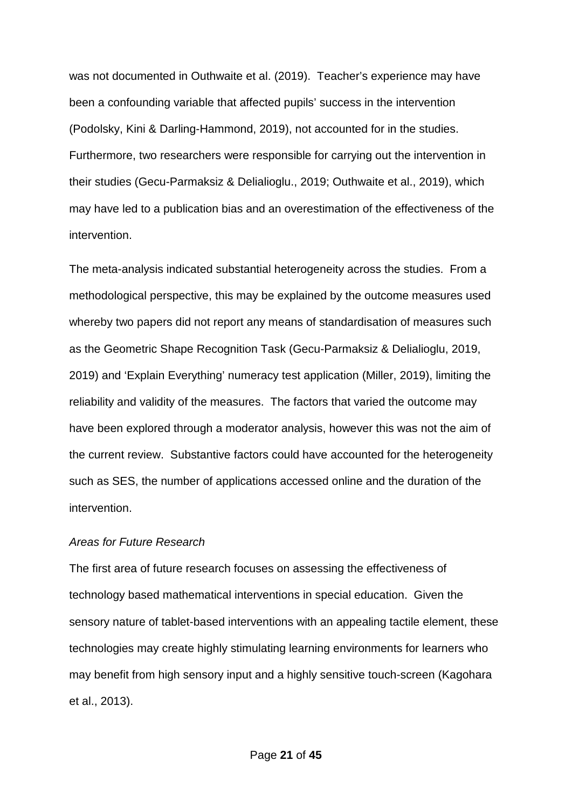was not documented in Outhwaite et al. (2019). Teacher's experience may have been a confounding variable that affected pupils' success in the intervention (Podolsky, Kini & Darling-Hammond, 2019), not accounted for in the studies. Furthermore, two researchers were responsible for carrying out the intervention in their studies (Gecu-Parmaksiz & Delialioglu., 2019; Outhwaite et al., 2019), which may have led to a publication bias and an overestimation of the effectiveness of the intervention.

The meta-analysis indicated substantial heterogeneity across the studies. From a methodological perspective, this may be explained by the outcome measures used whereby two papers did not report any means of standardisation of measures such as the Geometric Shape Recognition Task (Gecu-Parmaksiz & Delialioglu, 2019, 2019) and 'Explain Everything' numeracy test application (Miller, 2019), limiting the reliability and validity of the measures. The factors that varied the outcome may have been explored through a moderator analysis, however this was not the aim of the current review. Substantive factors could have accounted for the heterogeneity such as SES, the number of applications accessed online and the duration of the intervention.

#### *Areas for Future Research*

The first area of future research focuses on assessing the effectiveness of technology based mathematical interventions in special education. Given the sensory nature of tablet-based interventions with an appealing tactile element, these technologies may create highly stimulating learning environments for learners who may benefit from high sensory input and a highly sensitive touch-screen (Kagohara et al., 2013).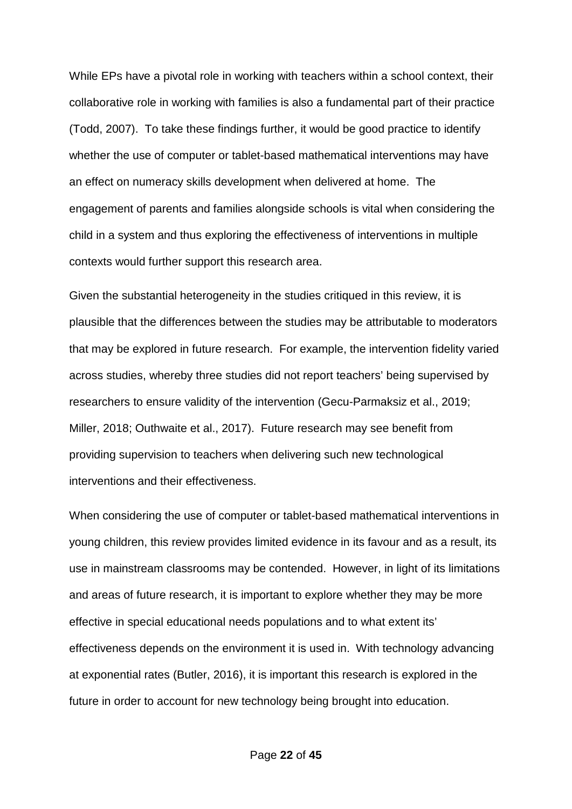While EPs have a pivotal role in working with teachers within a school context, their collaborative role in working with families is also a fundamental part of their practice (Todd, 2007). To take these findings further, it would be good practice to identify whether the use of computer or tablet-based mathematical interventions may have an effect on numeracy skills development when delivered at home. The engagement of parents and families alongside schools is vital when considering the child in a system and thus exploring the effectiveness of interventions in multiple contexts would further support this research area.

Given the substantial heterogeneity in the studies critiqued in this review, it is plausible that the differences between the studies may be attributable to moderators that may be explored in future research. For example, the intervention fidelity varied across studies, whereby three studies did not report teachers' being supervised by researchers to ensure validity of the intervention (Gecu-Parmaksiz et al., 2019; Miller, 2018; Outhwaite et al., 2017). Future research may see benefit from providing supervision to teachers when delivering such new technological interventions and their effectiveness.

When considering the use of computer or tablet-based mathematical interventions in young children, this review provides limited evidence in its favour and as a result, its use in mainstream classrooms may be contended. However, in light of its limitations and areas of future research, it is important to explore whether they may be more effective in special educational needs populations and to what extent its' effectiveness depends on the environment it is used in. With technology advancing at exponential rates (Butler, 2016), it is important this research is explored in the future in order to account for new technology being brought into education.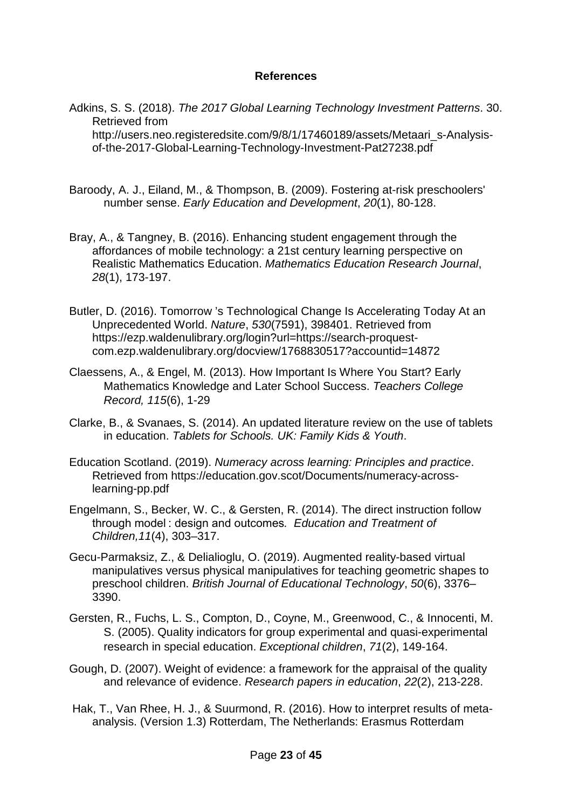## **References**

Adkins, S. S. (2018). *The 2017 Global Learning Technology Investment Patterns*. 30. Retrieved from http://users.neo.registeredsite.com/9/8/1/17460189/assets/Metaari\_s-Analysisof-the-2017-Global-Learning-Technology-Investment-Pat27238.pdf

- Baroody, A. J., Eiland, M., & Thompson, B. (2009). Fostering at-risk preschoolers' number sense. *Early Education and Development*, *20*(1), 80-128.
- Bray, A., & Tangney, B. (2016). Enhancing student engagement through the affordances of mobile technology: a 21st century learning perspective on Realistic Mathematics Education. *Mathematics Education Research Journal*, *28*(1), 173-197.
- Butler, D. (2016). Tomorrow 's Technological Change Is Accelerating Today At an Unprecedented World. *Nature*, *530*(7591), 398401. Retrieved from https://ezp.waldenulibrary.org/login?url=https://search-proquestcom.ezp.waldenulibrary.org/docview/1768830517?accountid=14872
- Claessens, A., & Engel, M. (2013). How Important Is Where You Start? Early Mathematics Knowledge and Later School Success. *Teachers College Record, 115*(6), 1-29
- Clarke, B., & Svanaes, S. (2014). An updated literature review on the use of tablets in education. *Tablets for Schools. UK: Family Kids & Youth*.
- Education Scotland. (2019). *Numeracy across learning: Principles and practice*. Retrieved from https://education.gov.scot/Documents/numeracy-acrosslearning-pp.pdf
- Engelmann, S., Becker, W. C., & Gersten, R. (2014). The direct instruction follow through model : design and outcomes*. Education and Treatment of Children,11*(4), 303–317.
- Gecu-Parmaksiz, Z., & Delialioglu, O. (2019). Augmented reality-based virtual manipulatives versus physical manipulatives for teaching geometric shapes to preschool children. *British Journal of Educational Technology*, *50*(6), 3376– 3390.
- Gersten, R., Fuchs, L. S., Compton, D., Coyne, M., Greenwood, C., & Innocenti, M. S. (2005). Quality indicators for group experimental and quasi-experimental research in special education. *Exceptional children*, *71*(2), 149-164.
- Gough, D. (2007). Weight of evidence: a framework for the appraisal of the quality and relevance of evidence. *Research papers in education*, *22*(2), 213-228.
- Hak, T., Van Rhee, H. J., & Suurmond, R. (2016). How to interpret results of metaanalysis. (Version 1.3) Rotterdam, The Netherlands: Erasmus Rotterdam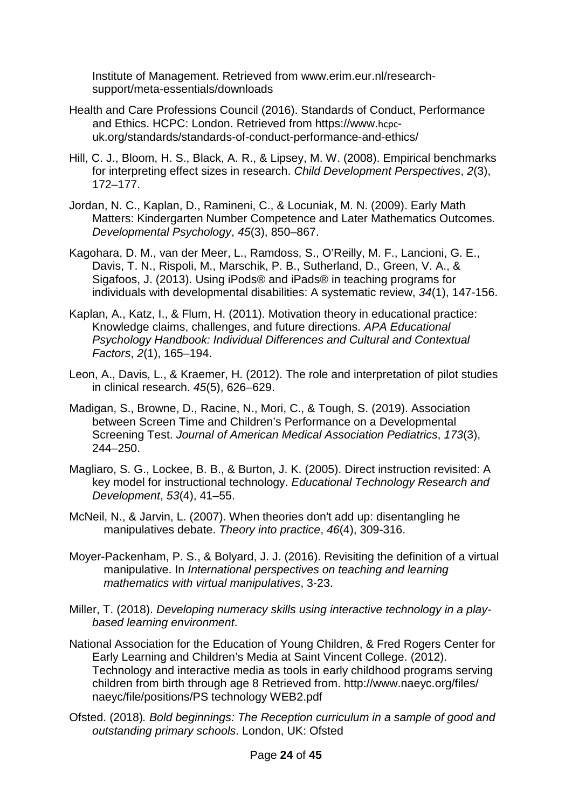Institute of Management. Retrieved from www.erim.eur.nl/researchsupport/meta-essentials/downloads

- Health and Care Professions Council (2016). Standards of Conduct, Performance and Ethics. HCPC: London. Retrieved from https://www.hcpcuk.org/standards/standards-of-conduct-performance-and-ethics/
- Hill, C. J., Bloom, H. S., Black, A. R., & Lipsey, M. W. (2008). Empirical benchmarks for interpreting effect sizes in research. *Child Development Perspectives*, *2*(3), 172–177.
- Jordan, N. C., Kaplan, D., Ramineni, C., & Locuniak, M. N. (2009). Early Math Matters: Kindergarten Number Competence and Later Mathematics Outcomes. *Developmental Psychology*, *45*(3), 850–867.
- Kagohara, D. M., van der Meer, L., Ramdoss, S., O'Reilly, M. F., Lancioni, G. E., Davis, T. N., Rispoli, M., Marschik, P. B., Sutherland, D., Green, V. A., & Sigafoos, J. (2013). Using iPods® and iPads® in teaching programs for individuals with developmental disabilities: A systematic review, *34*(1), 147-156.
- Kaplan, A., Katz, I., & Flum, H. (2011). Motivation theory in educational practice: Knowledge claims, challenges, and future directions. *APA Educational Psychology Handbook: Individual Differences and Cultural and Contextual Factors*, *2*(1), 165–194.
- Leon, A., Davis, L., & Kraemer, H. (2012). The role and interpretation of pilot studies in clinical research. *45*(5), 626–629.
- Madigan, S., Browne, D., Racine, N., Mori, C., & Tough, S. (2019). Association between Screen Time and Children's Performance on a Developmental Screening Test. *Journal of American Medical Association Pediatrics*, *173*(3), 244–250.
- Magliaro, S. G., Lockee, B. B., & Burton, J. K. (2005). Direct instruction revisited: A key model for instructional technology. *Educational Technology Research and Development*, *53*(4), 41–55.
- McNeil, N., & Jarvin, L. (2007). When theories don't add up: disentangling he manipulatives debate. *Theory into practice*, *46*(4), 309-316.
- Moyer-Packenham, P. S., & Bolyard, J. J. (2016). Revisiting the definition of a virtual manipulative. In *International perspectives on teaching and learning mathematics with virtual manipulatives*, 3-23.
- Miller, T. (2018). *Developing numeracy skills using interactive technology in a playbased learning environment*.
- National Association for the Education of Young Children, & Fred Rogers Center for Early Learning and Children's Media at Saint Vincent College. (2012). Technology and interactive media as tools in early childhood programs serving children from birth through age 8 Retrieved from. http://www.naeyc.org/files/ naeyc/file/positions/PS technology WEB2.pdf
- Ofsted. (2018)*. Bold beginnings: The Reception curriculum in a sample of good and outstanding primary schools*. London, UK: Ofsted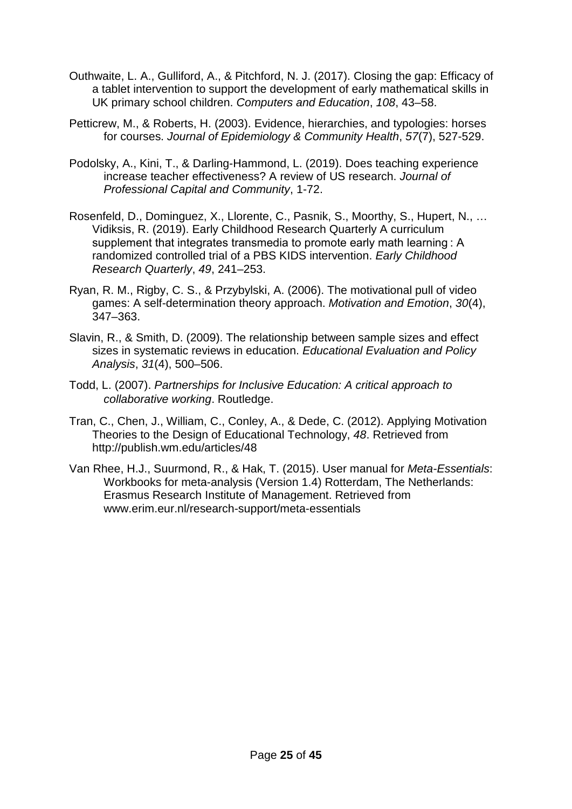- Outhwaite, L. A., Gulliford, A., & Pitchford, N. J. (2017). Closing the gap: Efficacy of a tablet intervention to support the development of early mathematical skills in UK primary school children. *Computers and Education*, *108*, 43–58.
- Petticrew, M., & Roberts, H. (2003). Evidence, hierarchies, and typologies: horses for courses. *Journal of Epidemiology & Community Health*, *57*(7), 527-529.
- Podolsky, A., Kini, T., & Darling-Hammond, L. (2019). Does teaching experience increase teacher effectiveness? A review of US research. *Journal of Professional Capital and Community*, 1-72.
- Rosenfeld, D., Dominguez, X., Llorente, C., Pasnik, S., Moorthy, S., Hupert, N., … Vidiksis, R. (2019). Early Childhood Research Quarterly A curriculum supplement that integrates transmedia to promote early math learning : A randomized controlled trial of a PBS KIDS intervention. *Early Childhood Research Quarterly*, *49*, 241–253.
- Ryan, R. M., Rigby, C. S., & Przybylski, A. (2006). The motivational pull of video games: A self-determination theory approach. *Motivation and Emotion*, *30*(4), 347–363.
- Slavin, R., & Smith, D. (2009). The relationship between sample sizes and effect sizes in systematic reviews in education. *Educational Evaluation and Policy Analysis*, *31*(4), 500–506.
- Todd, L. (2007). *Partnerships for Inclusive Education: A critical approach to collaborative working*. Routledge.
- Tran, C., Chen, J., William, C., Conley, A., & Dede, C. (2012). Applying Motivation Theories to the Design of Educational Technology, *48*. Retrieved from http://publish.wm.edu/articles/48
- Van Rhee, H.J., Suurmond, R., & Hak, T. (2015). User manual for *Meta-Essentials*: Workbooks for meta-analysis (Version 1.4) Rotterdam, The Netherlands: Erasmus Research Institute of Management. Retrieved from www.erim.eur.nl/research-support/meta-essentials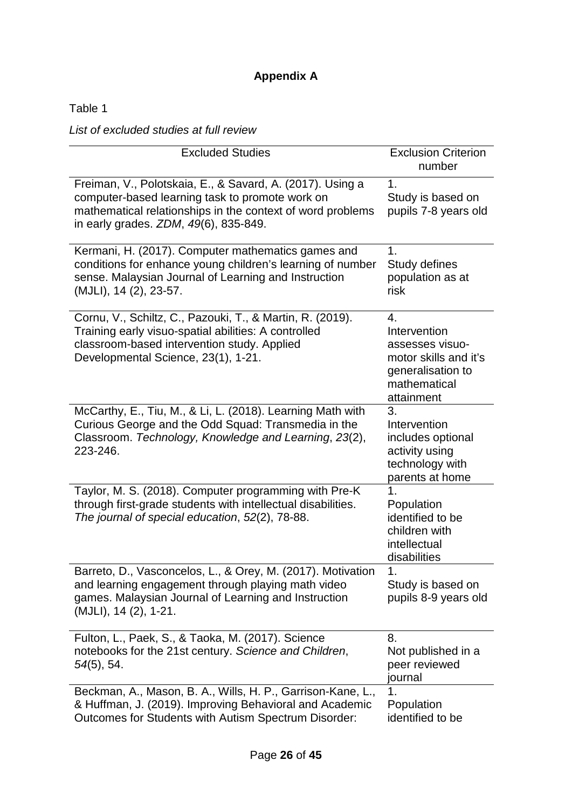# **Appendix A**

Table 1

*List of excluded studies at full review*

| <b>Excluded Studies</b>                                                                                                                                                                                             | <b>Exclusion Criterion</b><br>number                                                                              |
|---------------------------------------------------------------------------------------------------------------------------------------------------------------------------------------------------------------------|-------------------------------------------------------------------------------------------------------------------|
| Freiman, V., Polotskaia, E., & Savard, A. (2017). Using a<br>computer-based learning task to promote work on<br>mathematical relationships in the context of word problems<br>in early grades. ZDM, 49(6), 835-849. | 1.<br>Study is based on<br>pupils 7-8 years old                                                                   |
| Kermani, H. (2017). Computer mathematics games and<br>conditions for enhance young children's learning of number<br>sense. Malaysian Journal of Learning and Instruction<br>(MJLI), 14 (2), 23-57.                  | 1.<br>Study defines<br>population as at<br>risk                                                                   |
| Cornu, V., Schiltz, C., Pazouki, T., & Martin, R. (2019).<br>Training early visuo-spatial abilities: A controlled<br>classroom-based intervention study. Applied<br>Developmental Science, 23(1), 1-21.             | 4.<br>Intervention<br>assesses visuo-<br>motor skills and it's<br>generalisation to<br>mathematical<br>attainment |
| McCarthy, E., Tiu, M., & Li, L. (2018). Learning Math with<br>Curious George and the Odd Squad: Transmedia in the<br>Classroom. Technology, Knowledge and Learning, 23(2),<br>223-246.                              | 3.<br>Intervention<br>includes optional<br>activity using<br>technology with<br>parents at home                   |
| Taylor, M. S. (2018). Computer programming with Pre-K<br>through first-grade students with intellectual disabilities.<br>The journal of special education, 52(2), 78-88.                                            | 1.<br>Population<br>identified to be<br>children with<br>intellectual<br>disabilities                             |
| & Orey, M. (2017). Motivation<br>Vasconcelos,<br>Barreto.<br>D<br>and learning engagement through playing math video<br>games. Malaysian Journal of Learning and Instruction<br>(MJLI), 14 (2), 1-21.               | 1<br>Study is based on<br>pupils 8-9 years old                                                                    |
| Fulton, L., Paek, S., & Taoka, M. (2017). Science<br>notebooks for the 21st century. Science and Children,<br>$54(5)$ , 54.                                                                                         | 8.<br>Not published in a<br>peer reviewed<br>iournal                                                              |
| Beckman, A., Mason, B. A., Wills, H. P., Garrison-Kane, L.,<br>& Huffman, J. (2019). Improving Behavioral and Academic<br>Outcomes for Students with Autism Spectrum Disorder:                                      | 1.<br>Population<br>identified to be                                                                              |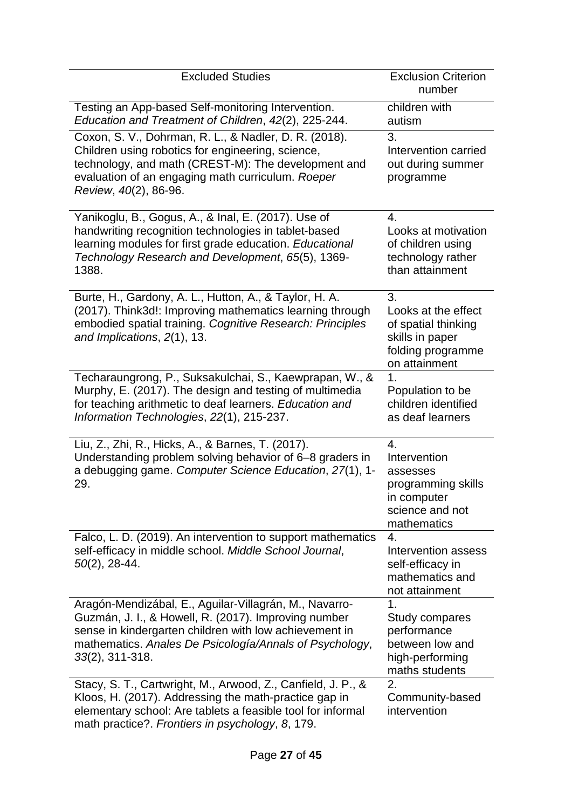| <b>Excluded Studies</b>                                                                                                                                                                                                                                   | <b>Exclusion Criterion</b><br>number                                                                      |
|-----------------------------------------------------------------------------------------------------------------------------------------------------------------------------------------------------------------------------------------------------------|-----------------------------------------------------------------------------------------------------------|
| Testing an App-based Self-monitoring Intervention.<br>Education and Treatment of Children, 42(2), 225-244.                                                                                                                                                | children with<br>autism                                                                                   |
| Coxon, S. V., Dohrman, R. L., & Nadler, D. R. (2018).<br>Children using robotics for engineering, science,<br>technology, and math (CREST-M): The development and<br>evaluation of an engaging math curriculum. Roeper<br>Review, 40(2), 86-96.           | 3.<br>Intervention carried<br>out during summer<br>programme                                              |
| Yanikoglu, B., Gogus, A., & Inal, E. (2017). Use of<br>handwriting recognition technologies in tablet-based<br>learning modules for first grade education. Educational<br>Technology Research and Development, 65(5), 1369-<br>1388.                      | 4.<br>Looks at motivation<br>of children using<br>technology rather<br>than attainment                    |
| Burte, H., Gardony, A. L., Hutton, A., & Taylor, H. A.<br>(2017). Think3d!: Improving mathematics learning through<br>embodied spatial training. Cognitive Research: Principles<br>and Implications, 2(1), 13.                                            | 3.<br>Looks at the effect<br>of spatial thinking<br>skills in paper<br>folding programme<br>on attainment |
| Techaraungrong, P., Suksakulchai, S., Kaewprapan, W., &<br>Murphy, E. (2017). The design and testing of multimedia<br>for teaching arithmetic to deaf learners. Education and<br>Information Technologies, 22(1), 215-237.                                | 1.<br>Population to be<br>children identified<br>as deaf learners                                         |
| Liu, Z., Zhi, R., Hicks, A., & Barnes, T. (2017).<br>Understanding problem solving behavior of 6–8 graders in<br>a debugging game. Computer Science Education, 27(1), 1-<br>29.                                                                           | 4.<br>Intervention<br>assesses<br>programming skills<br>in computer<br>science and not<br>mathematics     |
| Falco, L. D. (2019). An intervention to support mathematics<br>self-efficacy in middle school. Middle School Journal,<br>$50(2)$ , 28-44.                                                                                                                 | 4.<br>Intervention assess<br>self-efficacy in<br>mathematics and<br>not attainment                        |
| Aragón-Mendizábal, E., Aguilar-Villagrán, M., Navarro-<br>Guzmán, J. I., & Howell, R. (2017). Improving number<br>sense in kindergarten children with low achievement in<br>mathematics. Anales De Psicología/Annals of Psychology,<br>$33(2)$ , 311-318. | 1.<br>Study compares<br>performance<br>between low and<br>high-performing<br>maths students               |
| Stacy, S. T., Cartwright, M., Arwood, Z., Canfield, J. P., &<br>Kloos, H. (2017). Addressing the math-practice gap in<br>elementary school: Are tablets a feasible tool for informal<br>math practice?. Frontiers in psychology, 8, 179.                  | 2.<br>Community-based<br>intervention                                                                     |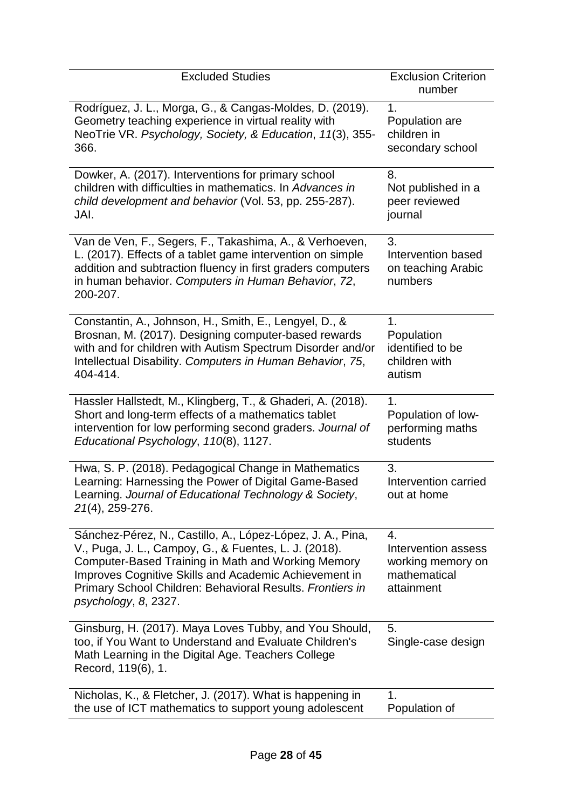| <b>Excluded Studies</b>                                                                                                                                                                                                                                                                                                 | <b>Exclusion Criterion</b><br>number                                         |
|-------------------------------------------------------------------------------------------------------------------------------------------------------------------------------------------------------------------------------------------------------------------------------------------------------------------------|------------------------------------------------------------------------------|
| Rodríguez, J. L., Morga, G., & Cangas-Moldes, D. (2019).                                                                                                                                                                                                                                                                | 1.                                                                           |
| Geometry teaching experience in virtual reality with                                                                                                                                                                                                                                                                    | Population are                                                               |
| NeoTrie VR. Psychology, Society, & Education, 11(3), 355-                                                                                                                                                                                                                                                               | children in                                                                  |
| 366.                                                                                                                                                                                                                                                                                                                    | secondary school                                                             |
| Dowker, A. (2017). Interventions for primary school                                                                                                                                                                                                                                                                     | 8.                                                                           |
| children with difficulties in mathematics. In Advances in                                                                                                                                                                                                                                                               | Not published in a                                                           |
| child development and behavior (Vol. 53, pp. 255-287).                                                                                                                                                                                                                                                                  | peer reviewed                                                                |
| JAI.                                                                                                                                                                                                                                                                                                                    | journal                                                                      |
| Van de Ven, F., Segers, F., Takashima, A., & Verhoeven,<br>L. (2017). Effects of a tablet game intervention on simple<br>addition and subtraction fluency in first graders computers<br>in human behavior. Computers in Human Behavior, 72,<br>200-207.                                                                 | 3.<br>Intervention based<br>on teaching Arabic<br>numbers                    |
| Constantin, A., Johnson, H., Smith, E., Lengyel, D., &                                                                                                                                                                                                                                                                  | 1.                                                                           |
| Brosnan, M. (2017). Designing computer-based rewards                                                                                                                                                                                                                                                                    | Population                                                                   |
| with and for children with Autism Spectrum Disorder and/or                                                                                                                                                                                                                                                              | identified to be                                                             |
| Intellectual Disability. Computers in Human Behavior, 75,                                                                                                                                                                                                                                                               | children with                                                                |
| 404-414.                                                                                                                                                                                                                                                                                                                | autism                                                                       |
| Hassler Hallstedt, M., Klingberg, T., & Ghaderi, A. (2018).                                                                                                                                                                                                                                                             | 1.                                                                           |
| Short and long-term effects of a mathematics tablet                                                                                                                                                                                                                                                                     | Population of low-                                                           |
| intervention for low performing second graders. Journal of                                                                                                                                                                                                                                                              | performing maths                                                             |
| Educational Psychology, 110(8), 1127.                                                                                                                                                                                                                                                                                   | students                                                                     |
| Hwa, S. P. (2018). Pedagogical Change in Mathematics<br>Learning: Harnessing the Power of Digital Game-Based<br>Learning. Journal of Educational Technology & Society,<br>21(4), 259-276.                                                                                                                               | 3.<br>Intervention carried<br>out at home                                    |
| Sánchez-Pérez, N., Castillo, A., López-López, J. A., Pina,<br>V., Puga, J. L., Campoy, G., & Fuentes, L. J. (2018).<br>Computer-Based Training in Math and Working Memory<br>Improves Cognitive Skills and Academic Achievement in<br>Primary School Children: Behavioral Results. Frontiers in<br>psychology, 8, 2327. | 4.<br>Intervention assess<br>working memory on<br>mathematical<br>attainment |
| Ginsburg, H. (2017). Maya Loves Tubby, and You Should,<br>too, if You Want to Understand and Evaluate Children's<br>Math Learning in the Digital Age. Teachers College<br>Record, 119(6), 1.                                                                                                                            | 5.<br>Single-case design                                                     |
| Nicholas, K., & Fletcher, J. (2017). What is happening in                                                                                                                                                                                                                                                               | 1.                                                                           |
| the use of ICT mathematics to support young adolescent                                                                                                                                                                                                                                                                  | Population of                                                                |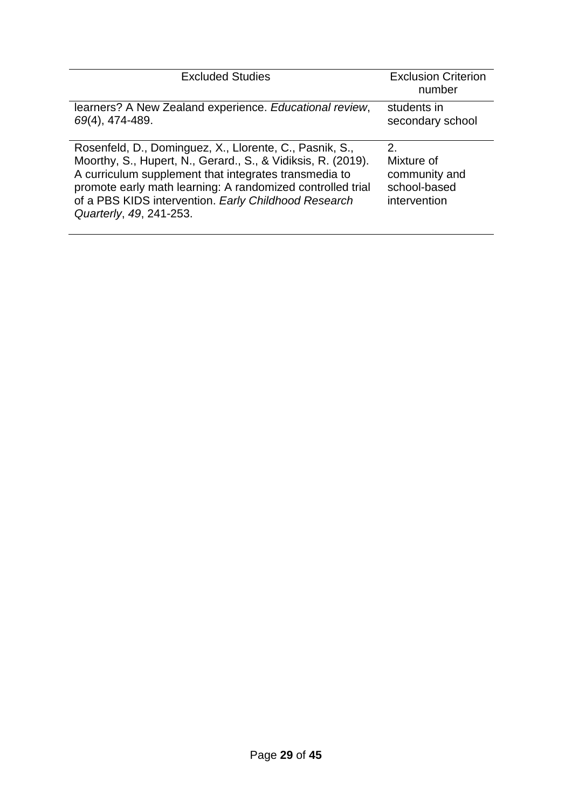| <b>Excluded Studies</b>                                                                                                                                                                                                                                                                                                           | <b>Exclusion Criterion</b><br>number                                   |
|-----------------------------------------------------------------------------------------------------------------------------------------------------------------------------------------------------------------------------------------------------------------------------------------------------------------------------------|------------------------------------------------------------------------|
| learners? A New Zealand experience. Educational review,<br>69(4), 474-489.                                                                                                                                                                                                                                                        | students in<br>secondary school                                        |
| Rosenfeld, D., Dominguez, X., Llorente, C., Pasnik, S.,<br>Moorthy, S., Hupert, N., Gerard., S., & Vidiksis, R. (2019).<br>A curriculum supplement that integrates transmedia to<br>promote early math learning: A randomized controlled trial<br>of a PBS KIDS intervention. Early Childhood Research<br>Quarterly, 49, 241-253. | $2_{-}$<br>Mixture of<br>community and<br>school-based<br>intervention |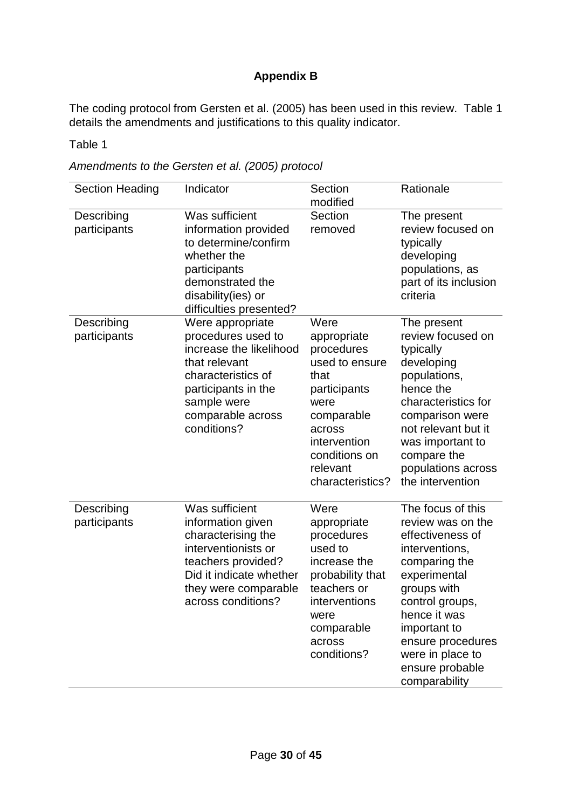# **Appendix B**

The coding protocol from Gersten et al. (2005) has been used in this review. Table 1 details the amendments and justifications to this quality indicator.

Table 1

*Amendments to the Gersten et al. (2005) protocol*

| <b>Section Heading</b>     | Indicator                                                                                                                                                                          | Section<br>modified                                                                                                                                                          | Rationale                                                                                                                                                                                                                                                    |
|----------------------------|------------------------------------------------------------------------------------------------------------------------------------------------------------------------------------|------------------------------------------------------------------------------------------------------------------------------------------------------------------------------|--------------------------------------------------------------------------------------------------------------------------------------------------------------------------------------------------------------------------------------------------------------|
| Describing<br>participants | Was sufficient<br>information provided<br>to determine/confirm<br>whether the<br>participants<br>demonstrated the<br>disability(ies) or<br>difficulties presented?                 | Section<br>removed                                                                                                                                                           | The present<br>review focused on<br>typically<br>developing<br>populations, as<br>part of its inclusion<br>criteria                                                                                                                                          |
| Describing<br>participants | Were appropriate<br>procedures used to<br>increase the likelihood<br>that relevant<br>characteristics of<br>participants in the<br>sample were<br>comparable across<br>conditions? | Were<br>appropriate<br>procedures<br>used to ensure<br>that<br>participants<br>were<br>comparable<br>across<br>intervention<br>conditions on<br>relevant<br>characteristics? | The present<br>review focused on<br>typically<br>developing<br>populations,<br>hence the<br>characteristics for<br>comparison were<br>not relevant but it<br>was important to<br>compare the<br>populations across<br>the intervention                       |
| Describing<br>participants | Was sufficient<br>information given<br>characterising the<br>interventionists or<br>teachers provided?<br>Did it indicate whether<br>they were comparable<br>across conditions?    | Were<br>appropriate<br>procedures<br>used to<br>increase the<br>probability that<br>teachers or<br>interventions<br>were<br>comparable<br>across<br>conditions?              | The focus of this<br>review was on the<br>effectiveness of<br>interventions,<br>comparing the<br>experimental<br>groups with<br>control groups,<br>hence it was<br>important to<br>ensure procedures<br>were in place to<br>ensure probable<br>comparability |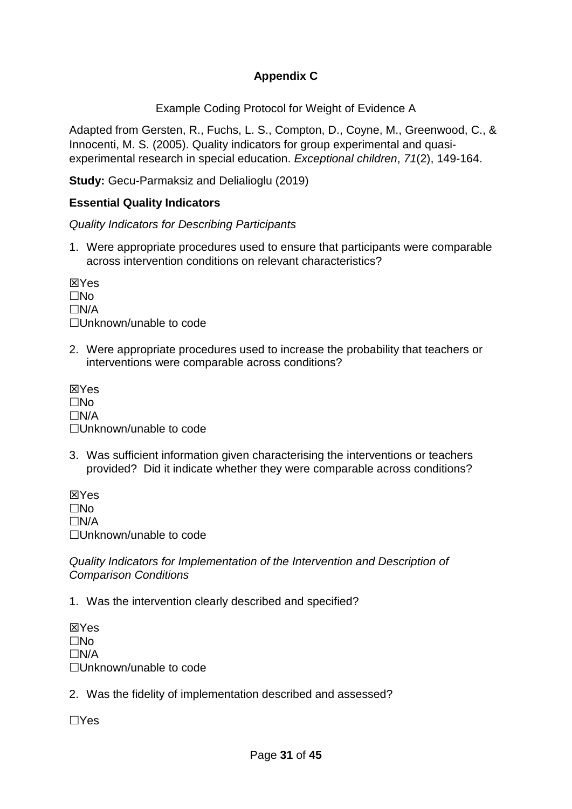# **Appendix C**

Example Coding Protocol for Weight of Evidence A

Adapted from Gersten, R., Fuchs, L. S., Compton, D., Coyne, M., Greenwood, C., & Innocenti, M. S. (2005). Quality indicators for group experimental and quasiexperimental research in special education. *Exceptional children*, *71*(2), 149-164.

**Study:** Gecu-Parmaksiz and Delialioglu (2019)

# **Essential Quality Indicators**

*Quality Indicators for Describing Participants*

1. Were appropriate procedures used to ensure that participants were comparable across intervention conditions on relevant characteristics?

**X**Yes  $\Box$ No  $\Box N/A$ Unknown/unable to code

2. Were appropriate procedures used to increase the probability that teachers or interventions were comparable across conditions?

**X**Yes  $\Box$ No  $\Box N/A$ Unknown/unable to code

3. Was sufficient information given characterising the interventions or teachers provided? Did it indicate whether they were comparable across conditions?

**X**Yes  $\Box$ No  $\Box N/A$ Unknown/unable to code

*Quality Indicators for Implementation of the Intervention and Description of Comparison Conditions*

1. Was the intervention clearly described and specified?

**X**Yes  $\Box$ No  $\Box N/A$ Unknown/unable to code

2. Was the fidelity of implementation described and assessed?

 $\Box$ Yes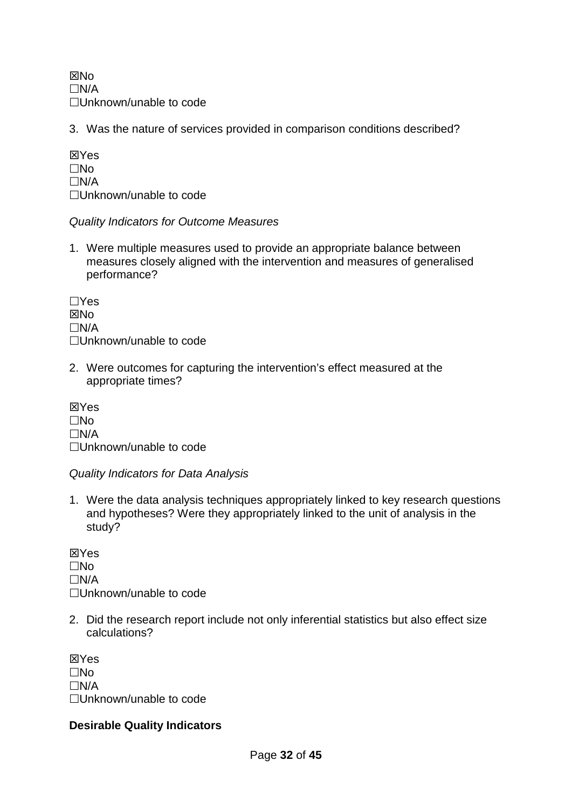**X<sub>No</sub>**  $\Box N/A$ Unknown/unable to code

3. Was the nature of services provided in comparison conditions described?

**XXYes**  $\square$ No  $\Box N/A$ □Unknown/unable to code

## *Quality Indicators for Outcome Measures*

1. Were multiple measures used to provide an appropriate balance between measures closely aligned with the intervention and measures of generalised performance?

 $\Box$ Yes **XNo**  $\Box N/A$ □Unknown/unable to code

2. Were outcomes for capturing the intervention's effect measured at the appropriate times?

**X**Yes  $\Box$ No  $\Box N/A$ □Unknown/unable to code

*Quality Indicators for Data Analysis*

1. Were the data analysis techniques appropriately linked to key research questions and hypotheses? Were they appropriately linked to the unit of analysis in the study?

**X**Yes  $\Box$ No  $\Box N/A$ □Unknown/unable to code

2. Did the research report include not only inferential statistics but also effect size calculations?

**X**Yes  $\Box$ No  $\Box N/A$ □Unknown/unable to code

## **Desirable Quality Indicators**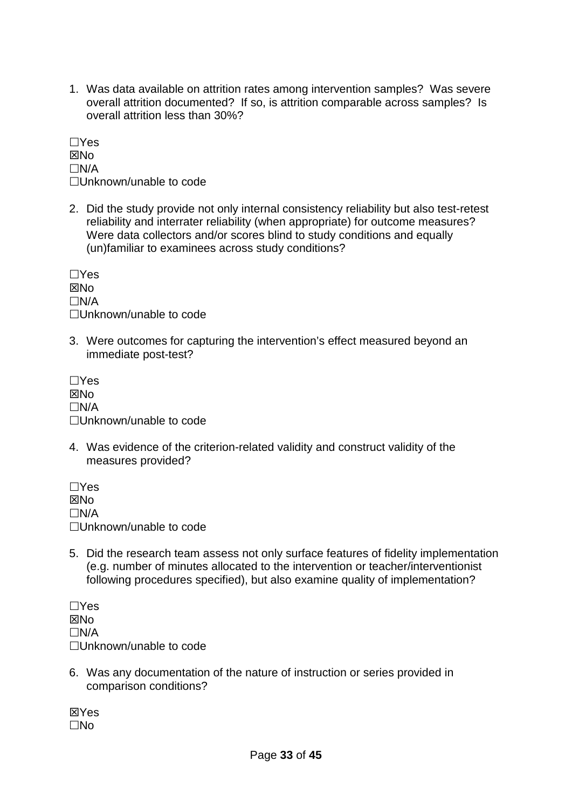1. Was data available on attrition rates among intervention samples? Was severe overall attrition documented? If so, is attrition comparable across samples? Is overall attrition less than 30%?

 $\Box$ Yes **XNo**  $\Box N/A$ □Unknown/unable to code

2. Did the study provide not only internal consistency reliability but also test-retest reliability and interrater reliability (when appropriate) for outcome measures? Were data collectors and/or scores blind to study conditions and equally (un)familiar to examinees across study conditions?

 $\Box$ Yes **XINO**  $\Box$ N/A □Unknown/unable to code

3. Were outcomes for capturing the intervention's effect measured beyond an immediate post-test?

 $\Box$ Yes **X<sub>No</sub>**  $\Box$ N/A □Unknown/unable to code

4. Was evidence of the criterion-related validity and construct validity of the measures provided?

 $\Box$ Yes  $\boxtimes$ No  $\Box$ N/A □Unknown/unable to code

5. Did the research team assess not only surface features of fidelity implementation (e.g. number of minutes allocated to the intervention or teacher/interventionist following procedures specified), but also examine quality of implementation?

 $\Box$ Yes **X<sub>No</sub>**  $\Box N/A$ □Unknown/unable to code

6. Was any documentation of the nature of instruction or series provided in comparison conditions?

**X**Yes  $\Box$ No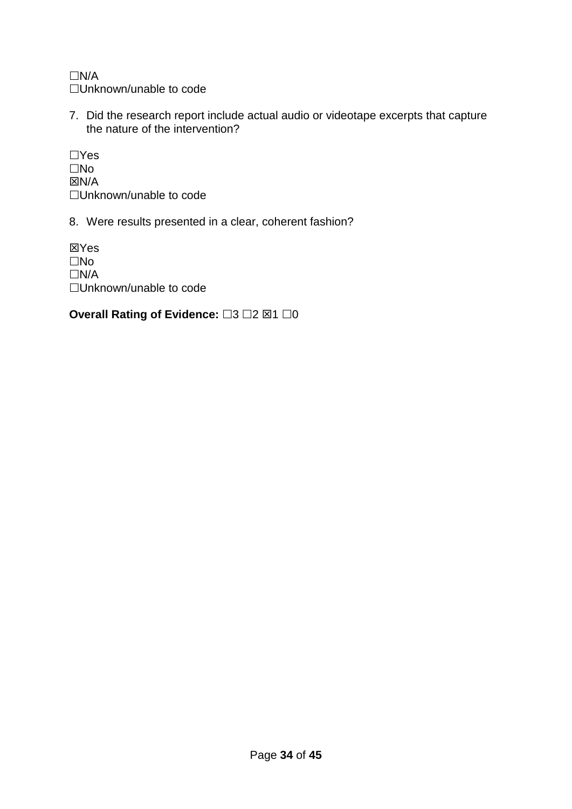$\Box N/A$ □Unknown/unable to code

7. Did the research report include actual audio or videotape excerpts that capture the nature of the intervention?

 $\Box$ Yes  $\square$ No  $\boxtimes N/A$ □Unknown/unable to code

8. Were results presented in a clear, coherent fashion?

**X**Yes  $\square$ No  $\Box N/A$ □Unknown/unable to code

**Overall Rating of Evidence:** □3 □2 ⊠1 □0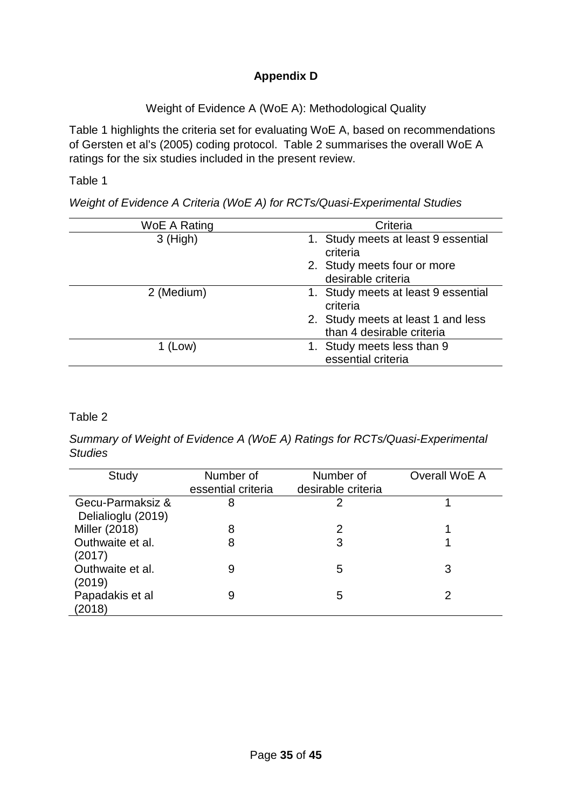# **Appendix D**

Weight of Evidence A (WoE A): Methodological Quality

Table 1 highlights the criteria set for evaluating WoE A, based on recommendations of Gersten et al's (2005) coding protocol. Table 2 summarises the overall WoE A ratings for the six studies included in the present review.

Table 1

*Weight of Evidence A Criteria (WoE A) for RCTs/Quasi-Experimental Studies*

| WoE A Rating | Criteria                                                        |
|--------------|-----------------------------------------------------------------|
| $3$ (High)   | 1. Study meets at least 9 essential<br>criteria                 |
|              | 2. Study meets four or more<br>desirable criteria               |
| 2 (Medium)   | 1. Study meets at least 9 essential<br>criteria                 |
|              | 2. Study meets at least 1 and less<br>than 4 desirable criteria |
| 1 (Low)      | 1. Study meets less than 9<br>essential criteria                |

# Table 2

*Summary of Weight of Evidence A (WoE A) Ratings for RCTs/Quasi-Experimental Studies*

| Study                                  | Number of<br>essential criteria | Number of<br>desirable criteria | Overall WoE A |
|----------------------------------------|---------------------------------|---------------------------------|---------------|
| Gecu-Parmaksiz &<br>Delialioglu (2019) | 8                               | 2                               |               |
| Miller (2018)                          |                                 | 2                               |               |
| Outhwaite et al.<br>(2017)             | 8                               | 3                               |               |
| Outhwaite et al.<br>(2019)             | 9                               | 5                               | 3             |
| Papadakis et al<br>(2018)              | 9                               | 5                               |               |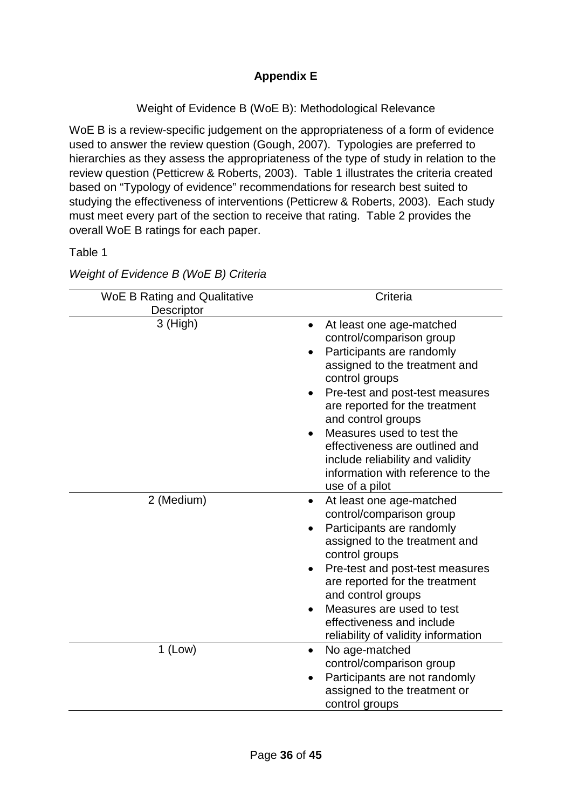Weight of Evidence B (WoE B): Methodological Relevance

WoE B is a review-specific judgement on the appropriateness of a form of evidence used to answer the review question (Gough, 2007). Typologies are preferred to hierarchies as they assess the appropriateness of the type of study in relation to the review question (Petticrew & Roberts, 2003). Table 1 illustrates the criteria created based on "Typology of evidence" recommendations for research best suited to studying the effectiveness of interventions (Petticrew & Roberts, 2003). Each study must meet every part of the section to receive that rating. Table 2 provides the overall WoE B ratings for each paper.

Table 1

| Weight of Evidence B (WoE B) Criteria |
|---------------------------------------|
|                                       |

| <b>WoE B Rating and Qualitative</b> | Criteria                                                                                                                                                                                                                                                                                                                                                                                                            |
|-------------------------------------|---------------------------------------------------------------------------------------------------------------------------------------------------------------------------------------------------------------------------------------------------------------------------------------------------------------------------------------------------------------------------------------------------------------------|
| Descriptor                          |                                                                                                                                                                                                                                                                                                                                                                                                                     |
| 3 (High)                            | At least one age-matched<br>$\bullet$<br>control/comparison group<br>Participants are randomly<br>assigned to the treatment and<br>control groups<br>Pre-test and post-test measures<br>$\bullet$<br>are reported for the treatment<br>and control groups<br>Measures used to test the<br>effectiveness are outlined and<br>include reliability and validity<br>information with reference to the<br>use of a pilot |
| 2 (Medium)                          | At least one age-matched<br>$\bullet$<br>control/comparison group<br>Participants are randomly<br>assigned to the treatment and<br>control groups<br>Pre-test and post-test measures<br>$\bullet$<br>are reported for the treatment<br>and control groups<br>Measures are used to test<br>$\bullet$<br>effectiveness and include<br>reliability of validity information                                             |
| $1$ (Low)                           | No age-matched<br>$\bullet$<br>control/comparison group<br>Participants are not randomly<br>assigned to the treatment or<br>control groups                                                                                                                                                                                                                                                                          |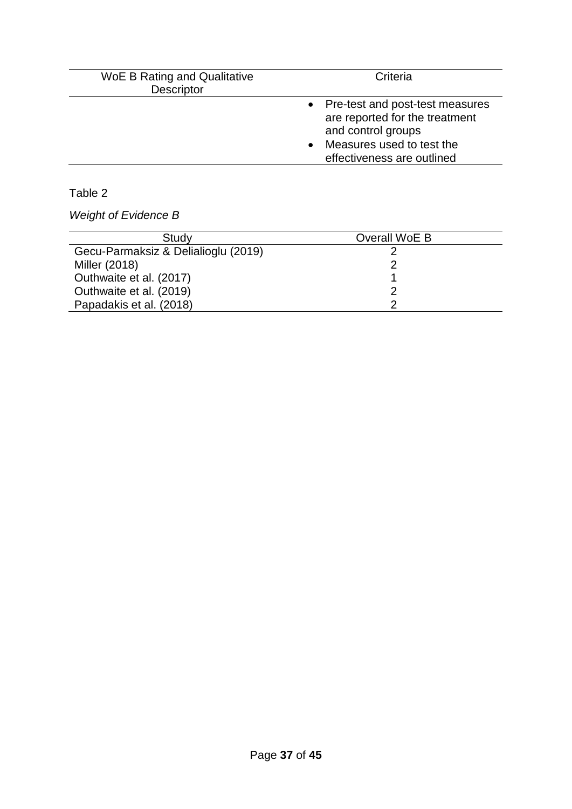| <b>WoE B Rating and Qualitative</b><br>Descriptor | Criteria                                                                                                                                               |  |  |
|---------------------------------------------------|--------------------------------------------------------------------------------------------------------------------------------------------------------|--|--|
|                                                   | • Pre-test and post-test measures<br>are reported for the treatment<br>and control groups<br>• Measures used to test the<br>effectiveness are outlined |  |  |

# Table 2

*Weight of Evidence B*

| Study                               | Overall WoE B |
|-------------------------------------|---------------|
| Gecu-Parmaksiz & Delialioglu (2019) |               |
| Miller (2018)                       |               |
| Outhwaite et al. (2017)             |               |
| Outhwaite et al. (2019)             |               |
| Papadakis et al. (2018)             |               |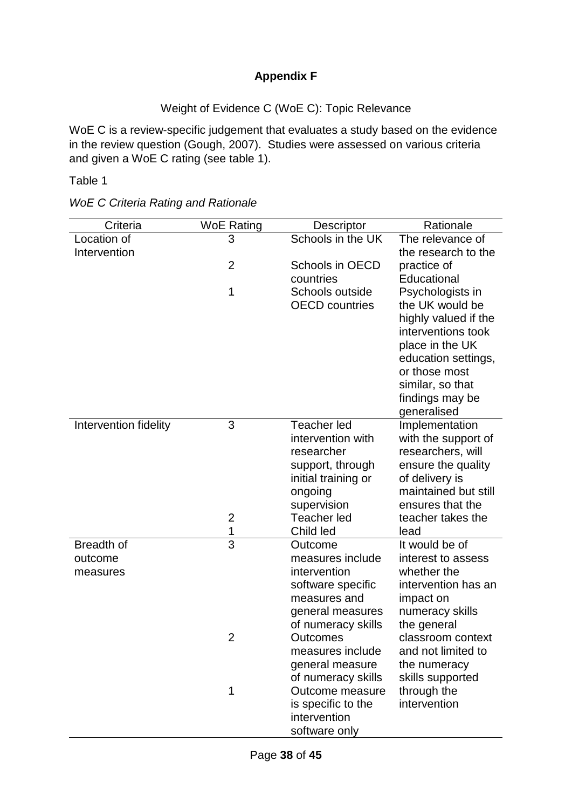# **Appendix F**

# Weight of Evidence C (WoE C): Topic Relevance

WoE C is a review-specific judgement that evaluates a study based on the evidence in the review question (Gough, 2007). Studies were assessed on various criteria and given a WoE C rating (see table 1).

Table 1

| <b>WoE C Criteria Rating and Rationale</b> |  |  |
|--------------------------------------------|--|--|
|--------------------------------------------|--|--|

| Criteria              | <b>WoE Rating</b> | Descriptor                              | Rationale                              |
|-----------------------|-------------------|-----------------------------------------|----------------------------------------|
| Location of           | 3                 | Schools in the UK                       | The relevance of                       |
| Intervention          | $\overline{2}$    |                                         | the research to the                    |
|                       |                   | Schools in OECD<br>countries            | practice of<br>Educational             |
|                       | 1                 | Schools outside                         | Psychologists in                       |
|                       |                   | <b>OECD</b> countries                   | the UK would be                        |
|                       |                   |                                         | highly valued if the                   |
|                       |                   |                                         | interventions took                     |
|                       |                   |                                         | place in the UK<br>education settings, |
|                       |                   |                                         | or those most                          |
|                       |                   |                                         | similar, so that                       |
|                       |                   |                                         | findings may be                        |
|                       |                   |                                         | generalised                            |
| Intervention fidelity | 3                 | <b>Teacher led</b><br>intervention with | Implementation<br>with the support of  |
|                       |                   | researcher                              | researchers, will                      |
|                       |                   | support, through                        | ensure the quality                     |
|                       |                   | initial training or                     | of delivery is                         |
|                       |                   | ongoing                                 | maintained but still                   |
|                       | $\overline{c}$    | supervision<br><b>Teacher led</b>       | ensures that the<br>teacher takes the  |
|                       | 1                 | Child led                               | lead                                   |
| Breadth of            | $\overline{3}$    | Outcome                                 | It would be of                         |
| outcome               |                   | measures include                        | interest to assess                     |
| measures              |                   | intervention                            | whether the                            |
|                       |                   | software specific<br>measures and       | intervention has an<br>impact on       |
|                       |                   | general measures                        | numeracy skills                        |
|                       |                   | of numeracy skills                      | the general                            |
|                       | $\overline{2}$    | Outcomes                                | classroom context                      |
|                       |                   | measures include                        | and not limited to                     |
|                       |                   | general measure                         | the numeracy                           |
|                       | 1                 | of numeracy skills<br>Outcome measure   | skills supported<br>through the        |
|                       |                   | is specific to the                      | intervention                           |
|                       |                   | intervention                            |                                        |
|                       |                   | software only                           |                                        |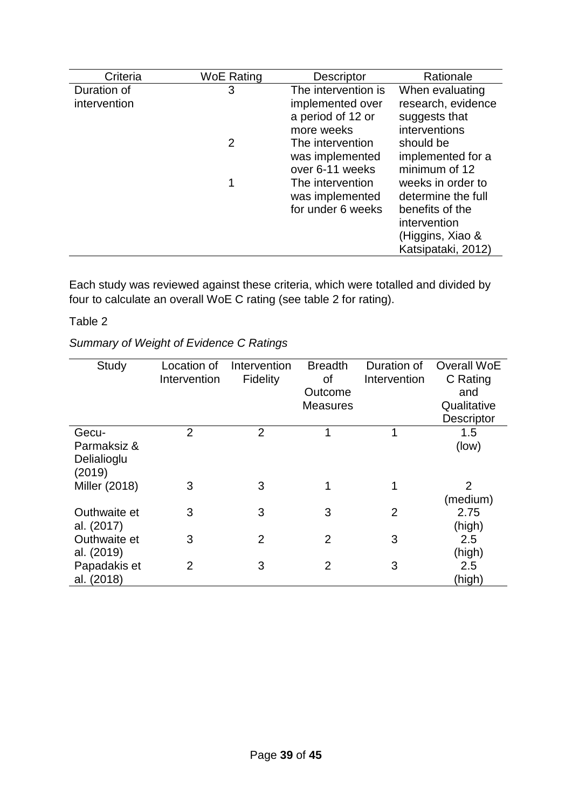| Criteria     | <b>WoE Rating</b> | <b>Descriptor</b>                                        | Rationale                                                                                                            |
|--------------|-------------------|----------------------------------------------------------|----------------------------------------------------------------------------------------------------------------------|
| Duration of  | 3                 | The intervention is                                      | When evaluating                                                                                                      |
| intervention |                   | implemented over<br>a period of 12 or<br>more weeks      | research, evidence<br>suggests that<br>interventions                                                                 |
|              | 2                 | The intervention<br>was implemented<br>over 6-11 weeks   | should be<br>implemented for a<br>minimum of 12                                                                      |
|              | 1                 | The intervention<br>was implemented<br>for under 6 weeks | weeks in order to<br>determine the full<br>benefits of the<br>intervention<br>(Higgins, Xiao &<br>Katsipataki, 2012) |

Each study was reviewed against these criteria, which were totalled and divided by four to calculate an overall WoE C rating (see table 2 for rating).

# Table 2

*Summary of Weight of Evidence C Ratings*

| Study                                         | Location of<br>Intervention | Intervention<br>Fidelity | <b>Breadth</b><br><b>of</b><br>Outcome<br><b>Measures</b> | Duration of<br>Intervention | <b>Overall WoE</b><br>C Rating<br>and<br>Qualitative<br>Descriptor |
|-----------------------------------------------|-----------------------------|--------------------------|-----------------------------------------------------------|-----------------------------|--------------------------------------------------------------------|
| Gecu-<br>Parmaksiz &<br>Delialioglu<br>(2019) | $\overline{2}$              | $\overline{2}$           | 1                                                         | 1                           | 1.5<br>(low)                                                       |
| Miller (2018)                                 | 3                           | 3                        | 1                                                         |                             | 2<br>(medium)                                                      |
| Outhwaite et<br>al. (2017)                    | 3                           | 3                        | 3                                                         | $\overline{2}$              | 2.75<br>(high)                                                     |
| Outhwaite et<br>al. (2019)                    | 3                           | $\overline{2}$           | 2                                                         | 3                           | 2.5<br>(high)                                                      |
| Papadakis et<br>al. (2018)                    | 2                           | 3                        | 2                                                         | 3                           | 2.5<br><u>(high)</u>                                               |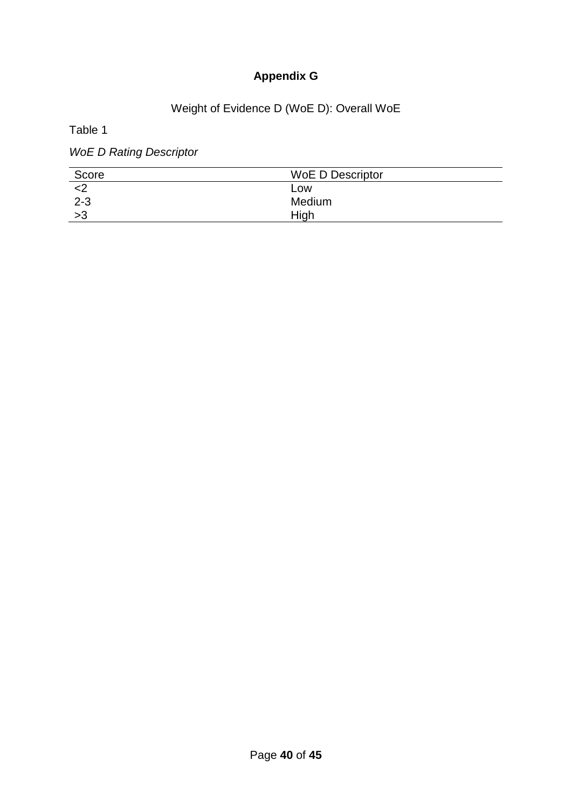# **Appendix G**

# Weight of Evidence D (WoE D): Overall WoE

Table 1

*WoE D Rating Descriptor*

| Score   | <b>WoE D Descriptor</b> |
|---------|-------------------------|
|         | LOW                     |
| $2 - 3$ | Medium                  |
| >3      | High                    |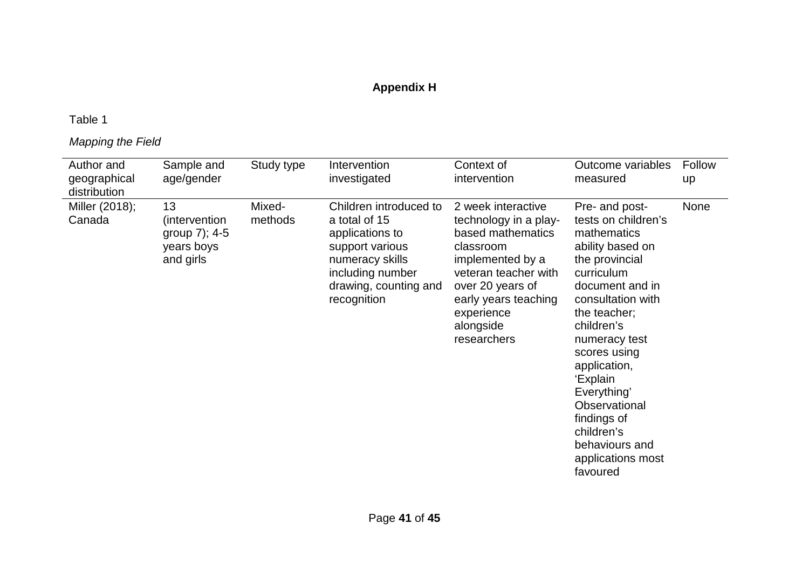# **Appendix H**

# Table 1

# *Mapping the Field*

| Author and<br>geographical<br>distribution | Sample and<br>age/gender                                        | Study type        | Intervention<br>investigated                                                                                                                                 | Context of<br>intervention                                                                                                                                                                                      | Outcome variables<br>measured                                                                                                                                                                                                                                                                                                                               | Follow<br>up |
|--------------------------------------------|-----------------------------------------------------------------|-------------------|--------------------------------------------------------------------------------------------------------------------------------------------------------------|-----------------------------------------------------------------------------------------------------------------------------------------------------------------------------------------------------------------|-------------------------------------------------------------------------------------------------------------------------------------------------------------------------------------------------------------------------------------------------------------------------------------------------------------------------------------------------------------|--------------|
| Miller (2018);<br>Canada                   | 13<br>(intervention<br>group 7); 4-5<br>years boys<br>and girls | Mixed-<br>methods | Children introduced to<br>a total of 15<br>applications to<br>support various<br>numeracy skills<br>including number<br>drawing, counting and<br>recognition | 2 week interactive<br>technology in a play-<br>based mathematics<br>classroom<br>implemented by a<br>veteran teacher with<br>over 20 years of<br>early years teaching<br>experience<br>alongside<br>researchers | Pre- and post-<br>tests on children's<br>mathematics<br>ability based on<br>the provincial<br>curriculum<br>document and in<br>consultation with<br>the teacher;<br>children's<br>numeracy test<br>scores using<br>application,<br>'Explain<br>Everything'<br>Observational<br>findings of<br>children's<br>behaviours and<br>applications most<br>favoured | None         |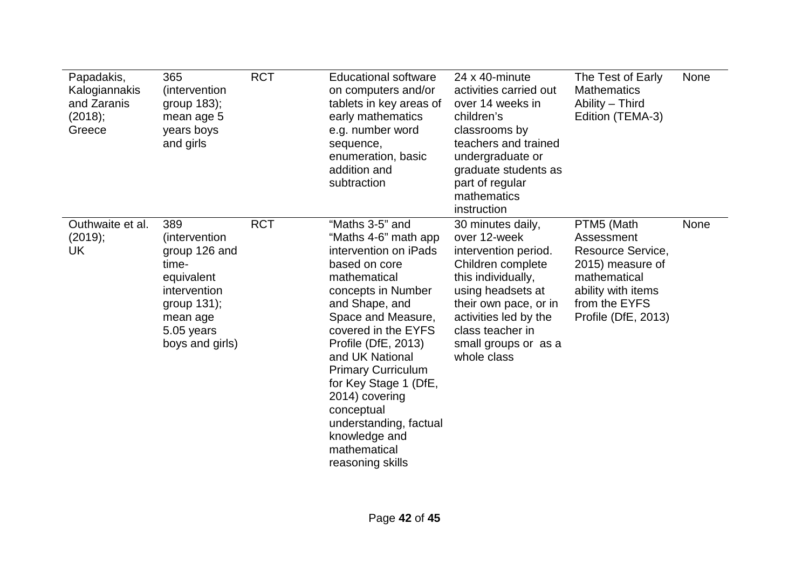| Papadakis,<br>Kalogiannakis<br>and Zaranis<br>(2018);<br>Greece | 365<br>(intervention)<br>group 183);<br>mean age 5<br>years boys<br>and girls                                                               | <b>RCT</b> | <b>Educational software</b><br>on computers and/or<br>tablets in key areas of<br>early mathematics<br>e.g. number word<br>sequence,<br>enumeration, basic<br>addition and<br>subtraction                                                                                                                                                                                                              | 24 x 40-minute<br>activities carried out<br>over 14 weeks in<br>children's<br>classrooms by<br>teachers and trained<br>undergraduate or<br>graduate students as<br>part of regular<br>mathematics<br>instruction                       | The Test of Early<br><b>Mathematics</b><br>Ability - Third<br>Edition (TEMA-3)                                                                  | None |
|-----------------------------------------------------------------|---------------------------------------------------------------------------------------------------------------------------------------------|------------|-------------------------------------------------------------------------------------------------------------------------------------------------------------------------------------------------------------------------------------------------------------------------------------------------------------------------------------------------------------------------------------------------------|----------------------------------------------------------------------------------------------------------------------------------------------------------------------------------------------------------------------------------------|-------------------------------------------------------------------------------------------------------------------------------------------------|------|
| Outhwaite et al.<br>(2019);<br>UK                               | 389<br>(intervention)<br>group 126 and<br>time-<br>equivalent<br>intervention<br>group $131$ ;<br>mean age<br>5.05 years<br>boys and girls) | <b>RCT</b> | "Maths 3-5" and<br>"Maths 4-6" math app<br>intervention on iPads<br>based on core<br>mathematical<br>concepts in Number<br>and Shape, and<br>Space and Measure,<br>covered in the EYFS<br>Profile (DfE, 2013)<br>and UK National<br><b>Primary Curriculum</b><br>for Key Stage 1 (DfE,<br>2014) covering<br>conceptual<br>understanding, factual<br>knowledge and<br>mathematical<br>reasoning skills | 30 minutes daily,<br>over 12-week<br>intervention period.<br>Children complete<br>this individually,<br>using headsets at<br>their own pace, or in<br>activities led by the<br>class teacher in<br>small groups or as a<br>whole class | PTM5 (Math<br>Assessment<br>Resource Service,<br>2015) measure of<br>mathematical<br>ability with items<br>from the EYFS<br>Profile (DfE, 2013) | None |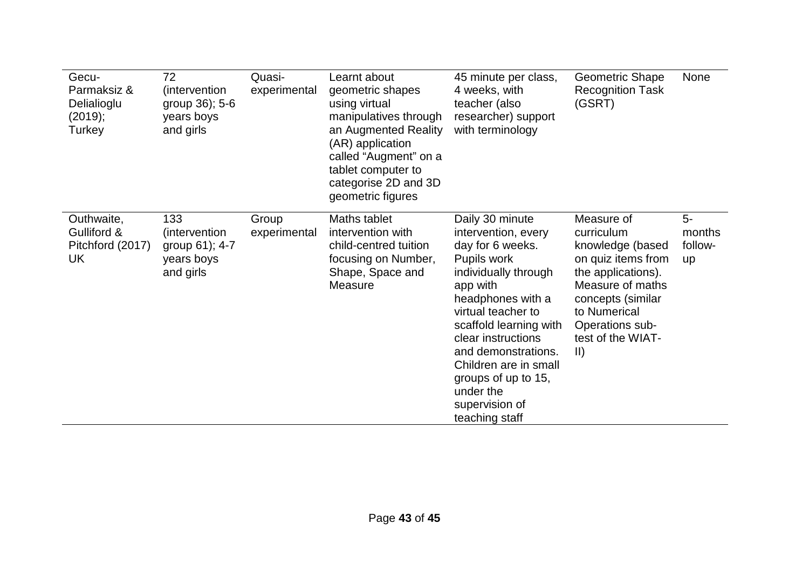| Gecu-<br>Parmaksiz &<br>Delialioglu<br>(2019);<br>Turkey | 72<br>(intervention<br>group 36); 5-6<br>years boys<br>and girls   | Quasi-<br>experimental | Learnt about<br>geometric shapes<br>using virtual<br>manipulatives through<br>an Augmented Reality<br>(AR) application<br>called "Augment" on a<br>tablet computer to<br>categorise 2D and 3D<br>geometric figures | 45 minute per class,<br>4 weeks, with<br>teacher (also<br>researcher) support<br>with terminology                                                                                                                                                                                                                                | <b>Geometric Shape</b><br><b>Recognition Task</b><br>(GSRT)                                                                                                                                                | None                                   |
|----------------------------------------------------------|--------------------------------------------------------------------|------------------------|--------------------------------------------------------------------------------------------------------------------------------------------------------------------------------------------------------------------|----------------------------------------------------------------------------------------------------------------------------------------------------------------------------------------------------------------------------------------------------------------------------------------------------------------------------------|------------------------------------------------------------------------------------------------------------------------------------------------------------------------------------------------------------|----------------------------------------|
| Outhwaite,<br>Gulliford &<br>Pitchford (2017)<br>UK      | 133<br>(intervention)<br>group 61); 4-7<br>years boys<br>and girls | Group<br>experimental  | Maths tablet<br>intervention with<br>child-centred tuition<br>focusing on Number,<br>Shape, Space and<br>Measure                                                                                                   | Daily 30 minute<br>intervention, every<br>day for 6 weeks.<br>Pupils work<br>individually through<br>app with<br>headphones with a<br>virtual teacher to<br>scaffold learning with<br>clear instructions<br>and demonstrations.<br>Children are in small<br>groups of up to 15,<br>under the<br>supervision of<br>teaching staff | Measure of<br>curriculum<br>knowledge (based<br>on quiz items from<br>the applications).<br>Measure of maths<br>concepts (similar<br>to Numerical<br>Operations sub-<br>test of the WIAT-<br>$\vert \vert$ | $5-$<br>months<br>follow-<br><b>up</b> |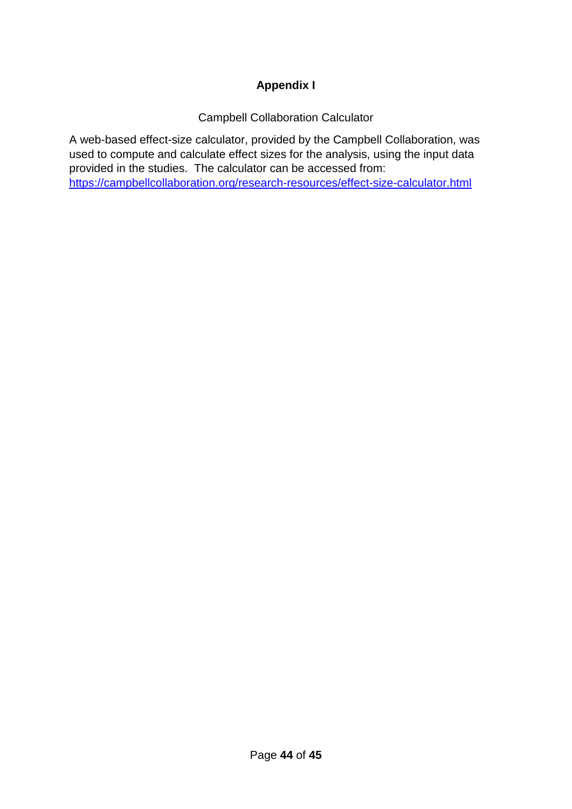# **Appendix I**

Campbell Collaboration Calculator

A web-based effect-size calculator, provided by the Campbell Collaboration, was used to compute and calculate effect sizes for the analysis, using the input data provided in the studies. The calculator can be accessed from: <https://campbellcollaboration.org/research-resources/effect-size-calculator.html>